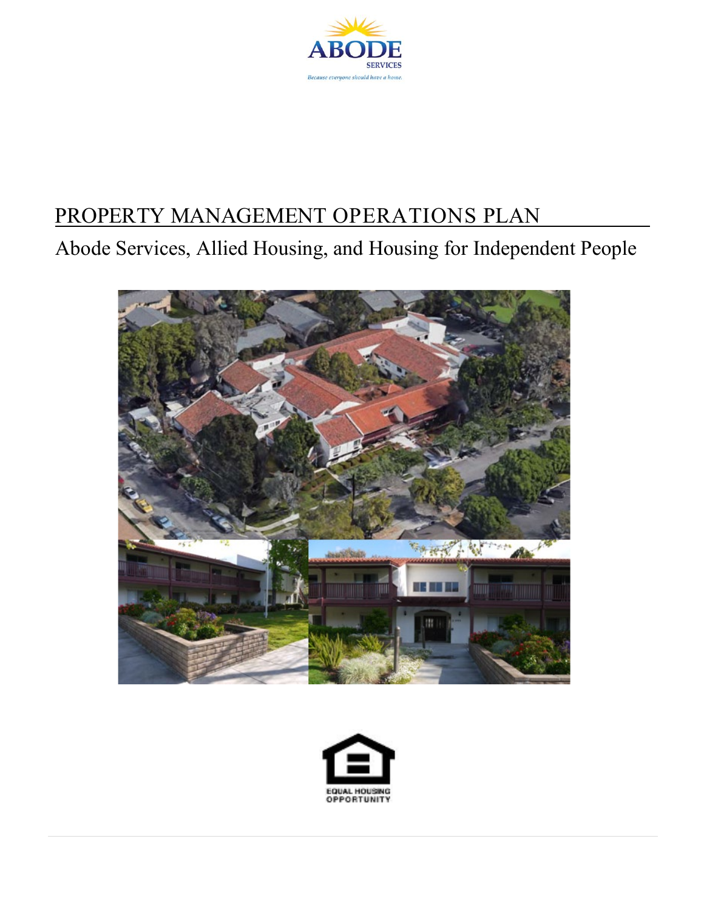

# PROPERTY MANAGEMENT OPERATIONS PLAN

Abode Services, Allied Housing, and Housing for Independent People



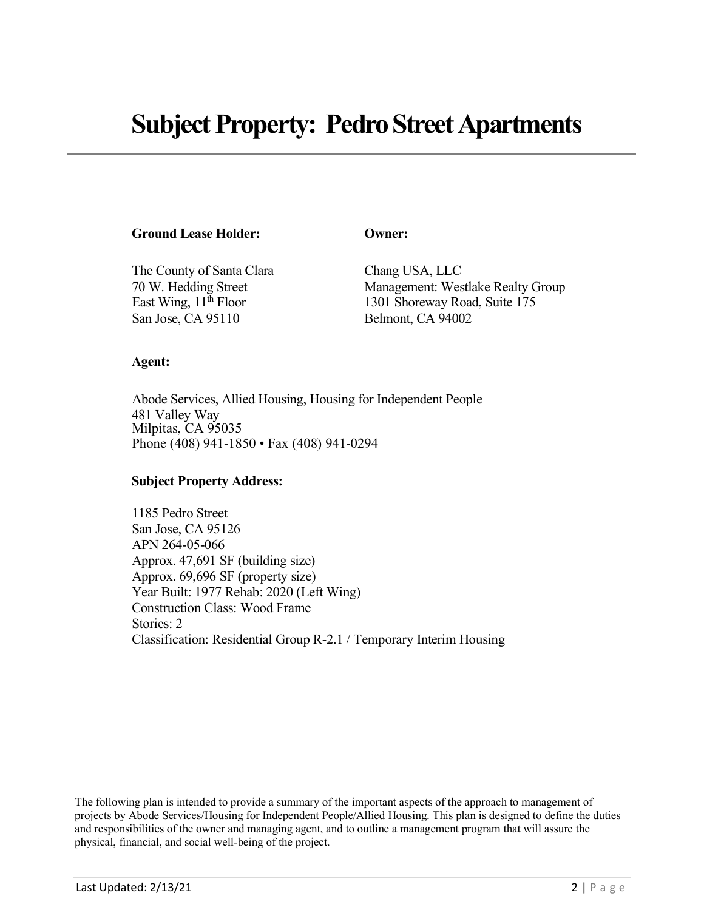#### **Ground Lease Holder: Owner:**

The County of Santa Clara Chang USA, LLC San Jose, CA 95110 Belmont, CA 94002

70 W. Hedding Street Management: Westlake Realty Group East Wing, 11<sup>th</sup> Floor 1301 Shoreway Road, Suite 175

#### **Agent:**

Abode Services, Allied Housing, Housing for Independent People 481 Valley Way Milpitas, CA 95035 Phone (408) 941-1850 • Fax (408) 941-0294

#### **Subject Property Address:**

1185 Pedro Street San Jose, CA 95126 APN 264-05-066 Approx. 47,691 SF (building size) Approx. 69,696 SF (property size) Year Built: 1977 Rehab: 2020 (Left Wing) Construction Class: Wood Frame Stories: 2 Classification: Residential Group R-2.1 / Temporary Interim Housing

The following plan is intended to provide a summary of the important aspects of the approach to management of projects by Abode Services/Housing for Independent People/Allied Housing. This plan is designed to define the duties and responsibilities of the owner and managing agent, and to outline a management program that will assure the physical, financial, and social well-being of the project.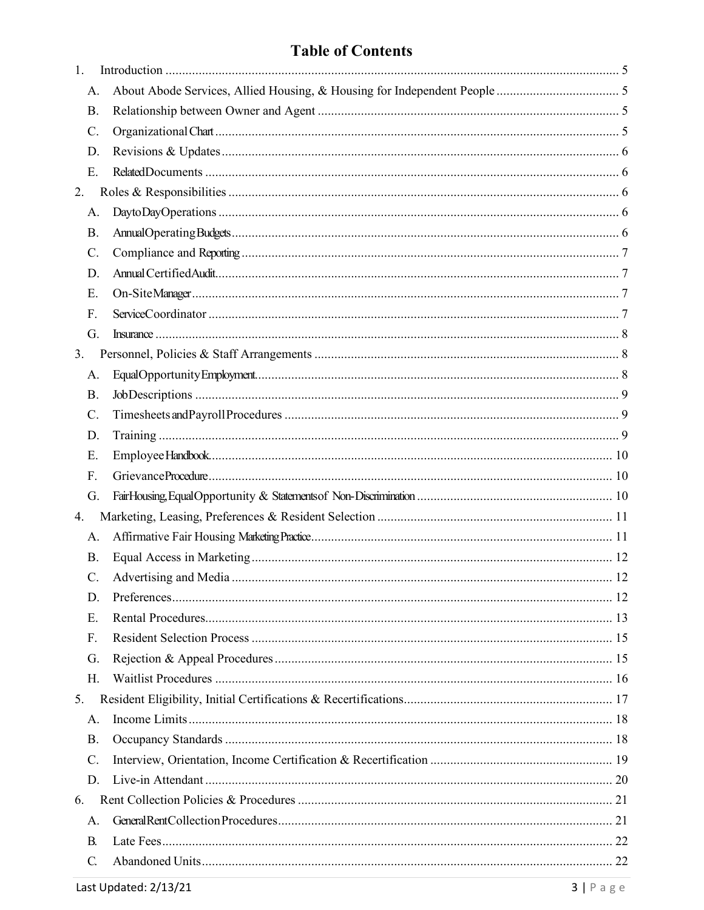# **Table of Contents**

| 1.              |  |
|-----------------|--|
| A.              |  |
| <b>B.</b>       |  |
| $\mathcal{C}$ . |  |
| D.              |  |
| Ε.              |  |
| 2.              |  |
| A.              |  |
| Β.              |  |
| $C$ .           |  |
| D.              |  |
| Ε.              |  |
| F.              |  |
| G.              |  |
| 3.              |  |
| A.              |  |
| Β.              |  |
| C.              |  |
| D.              |  |
| Ε.              |  |
| F.              |  |
| G.              |  |
| 4.              |  |
| A.              |  |
| Β.              |  |
| C.              |  |
| D.              |  |
| E.              |  |
| F.              |  |
| G.              |  |
| Н.              |  |
| 5.              |  |
| Α.              |  |
| Β.              |  |
| C.              |  |
| D.              |  |
| 6.              |  |
| А.              |  |
| В.              |  |
| C.              |  |
|                 |  |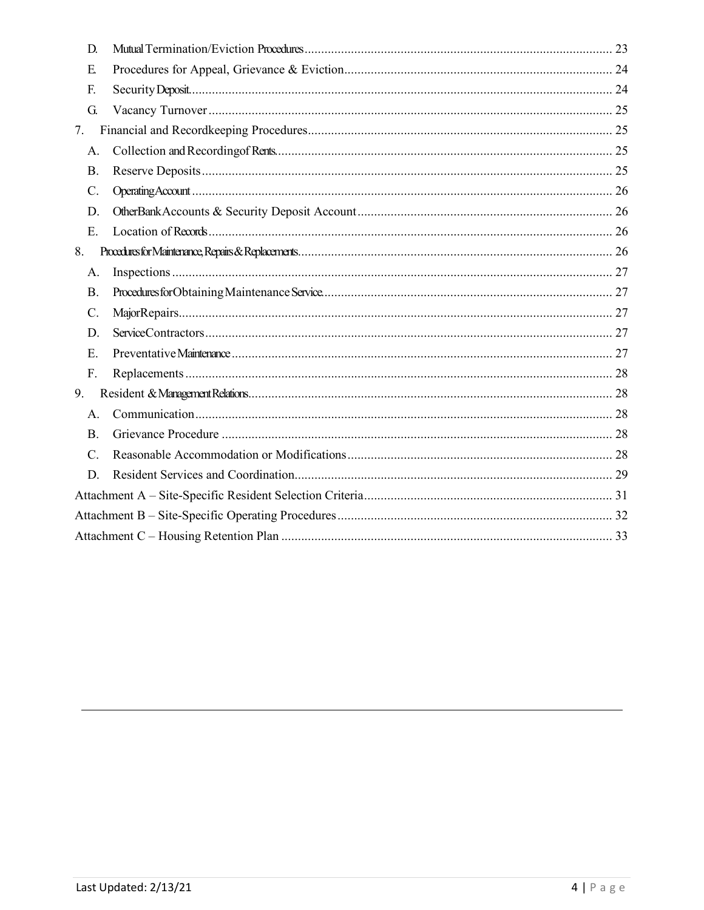| D.              |  |  |  |  |
|-----------------|--|--|--|--|
| E.              |  |  |  |  |
| F.              |  |  |  |  |
| G.              |  |  |  |  |
| 7.              |  |  |  |  |
| A.              |  |  |  |  |
| Β.              |  |  |  |  |
| $\mathcal{C}$ . |  |  |  |  |
| D.              |  |  |  |  |
| Ε.              |  |  |  |  |
| 8.              |  |  |  |  |
| A.              |  |  |  |  |
| <b>B.</b>       |  |  |  |  |
| C.              |  |  |  |  |
| D.              |  |  |  |  |
| Ε.              |  |  |  |  |
| F.              |  |  |  |  |
| 9.              |  |  |  |  |
| A.              |  |  |  |  |
| <b>B.</b>       |  |  |  |  |
| $C_{\cdot}$     |  |  |  |  |
| D.              |  |  |  |  |
|                 |  |  |  |  |
|                 |  |  |  |  |
|                 |  |  |  |  |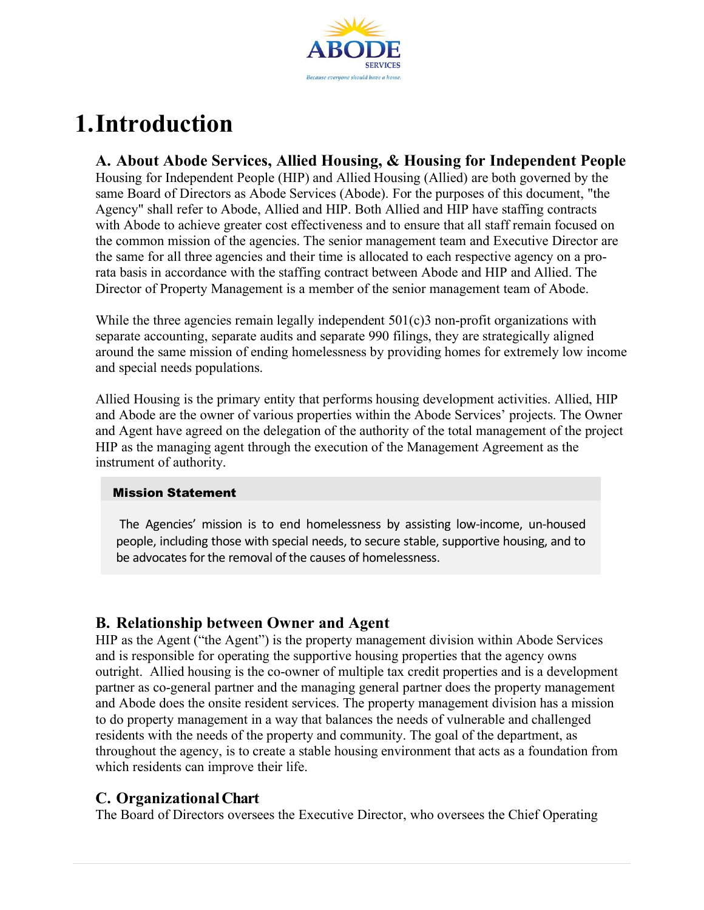

# <span id="page-4-0"></span>**1.Introduction**

#### <span id="page-4-1"></span>**A. About Abode Services, Allied Housing, & Housing for Independent People**

Housing for Independent People (HIP) and Allied Housing (Allied) are both governed by the same Board of Directors as Abode Services (Abode). For the purposes of this document, "the Agency" shall refer to Abode, Allied and HIP. Both Allied and HIP have staffing contracts with Abode to achieve greater cost effectiveness and to ensure that all staff remain focused on the common mission of the agencies. The senior management team and Executive Director are the same for all three agencies and their time is allocated to each respective agency on a prorata basis in accordance with the staffing contract between Abode and HIP and Allied. The Director of Property Management is a member of the senior management team of Abode.

While the three agencies remain legally independent  $501(c)3$  non-profit organizations with separate accounting, separate audits and separate 990 filings, they are strategically aligned around the same mission of ending homelessness by providing homes for extremely low income and special needs populations.

Allied Housing is the primary entity that performs housing development activities. Allied, HIP and Abode are the owner of various properties within the Abode Services' projects. The Owner and Agent have agreed on the delegation of the authority of the total management of the project HIP as the managing agent through the execution of the Management Agreement as the instrument of authority.

#### Mission Statement

The Agencies' mission is to end homelessness by assisting low-income, un-housed people, including those with special needs, to secure stable, supportive housing, and to be advocates for the removal of the causes of homelessness.

### <span id="page-4-2"></span>**B. Relationship between Owner and Agent**

HIP as the Agent ("the Agent") is the property management division within Abode Services and is responsible for operating the supportive housing properties that the agency owns outright. Allied housing is the co-owner of multiple tax credit properties and is a development partner as co-general partner and the managing general partner does the property management and Abode does the onsite resident services. The property management division has a mission to do property management in a way that balances the needs of vulnerable and challenged residents with the needs of the property and community. The goal of the department, as throughout the agency, is to create a stable housing environment that acts as a foundation from which residents can improve their life.

### <span id="page-4-3"></span>**C. OrganizationalChart**

The Board of Directors oversees the Executive Director, who oversees the Chief Operating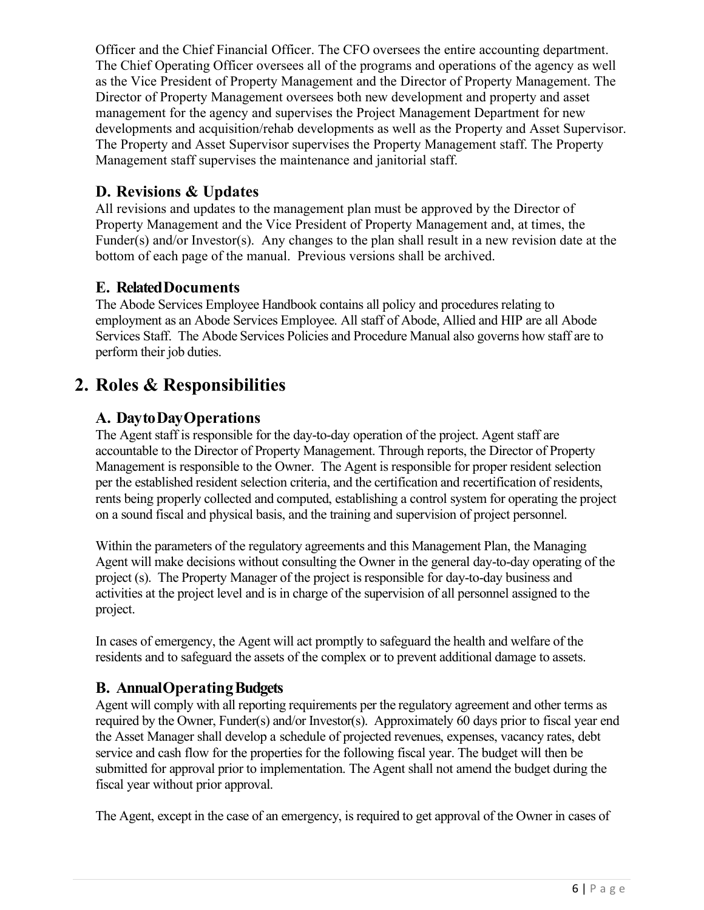Officer and the Chief Financial Officer. The CFO oversees the entire accounting department. The Chief Operating Officer oversees all of the programs and operations of the agency as well as the Vice President of Property Management and the Director of Property Management. The Director of Property Management oversees both new development and property and asset management for the agency and supervises the Project Management Department for new developments and acquisition/rehab developments as well as the Property and Asset Supervisor. The Property and Asset Supervisor supervises the Property Management staff. The Property Management staff supervises the maintenance and janitorial staff.

## <span id="page-5-0"></span>**D. Revisions & Updates**

All revisions and updates to the management plan must be approved by the Director of Property Management and the Vice President of Property Management and, at times, the Funder(s) and/or Investor(s). Any changes to the plan shall result in a new revision date at the bottom of each page of the manual. Previous versions shall be archived.

#### <span id="page-5-1"></span>**E. RelatedDocuments**

The Abode Services Employee Handbook contains all policy and procedures relating to employment as an Abode Services Employee. All staff of Abode, Allied and HIP are all Abode Services Staff. The Abode Services Policies and Procedure Manual also governs how staff are to perform their job duties.

# <span id="page-5-3"></span><span id="page-5-2"></span>**2. Roles & Responsibilities**

### **A. DaytoDayOperations**

The Agent staff is responsible for the day-to-day operation of the project. Agent staff are accountable to the Director of Property Management. Through reports, the Director of Property Management is responsible to the Owner. The Agent is responsible for proper resident selection per the established resident selection criteria, and the certification and recertification of residents, rents being properly collected and computed, establishing a control system for operating the project on a sound fiscal and physical basis, and the training and supervision of project personnel.

Within the parameters of the regulatory agreements and this Management Plan, the Managing Agent will make decisions without consulting the Owner in the general day-to-day operating of the project (s). The Property Manager of the project is responsible for day-to-day business and activities at the project level and is in charge of the supervision of all personnel assigned to the project.

In cases of emergency, the Agent will act promptly to safeguard the health and welfare of the residents and to safeguard the assets of the complex or to prevent additional damage to assets.

### <span id="page-5-4"></span>**B. AnnualOperatingBudgets**

Agent will comply with all reporting requirements per the regulatory agreement and other terms as required by the Owner, Funder(s) and/or Investor(s). Approximately 60 days prior to fiscal year end the Asset Manager shall develop a schedule of projected revenues, expenses, vacancy rates, debt service and cash flow for the properties for the following fiscal year. The budget will then be submitted for approval prior to implementation. The Agent shall not amend the budget during the fiscal year without prior approval.

The Agent, except in the case of an emergency, is required to get approval of the Owner in cases of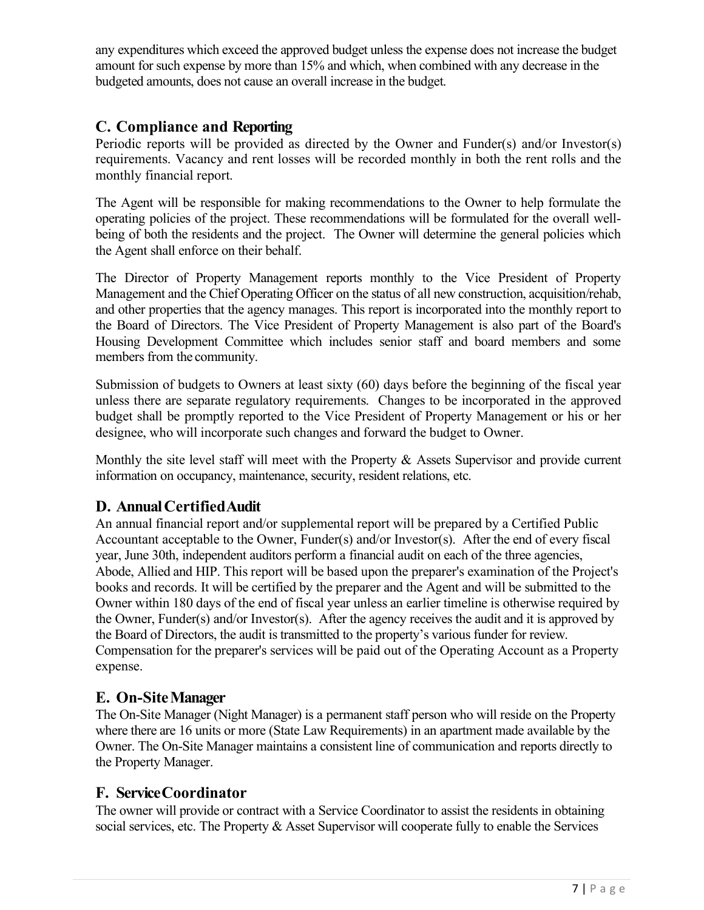any expenditures which exceed the approved budget unless the expense does not increase the budget amount for such expense by more than 15% and which, when combined with any decrease in the budgeted amounts, does not cause an overall increase in the budget.

#### <span id="page-6-0"></span>**C. Compliance and Reporting**

Periodic reports will be provided as directed by the Owner and Funder(s) and/or Investor(s) requirements. Vacancy and rent losses will be recorded monthly in both the rent rolls and the monthly financial report.

The Agent will be responsible for making recommendations to the Owner to help formulate the operating policies of the project. These recommendations will be formulated for the overall wellbeing of both the residents and the project. The Owner will determine the general policies which the Agent shall enforce on their behalf.

The Director of Property Management reports monthly to the Vice President of Property Management and the Chief Operating Officer on the status of all new construction, acquisition/rehab, and other properties that the agency manages. This report is incorporated into the monthly report to the Board of Directors. The Vice President of Property Management is also part of the Board's Housing Development Committee which includes senior staff and board members and some members from the community.

Submission of budgets to Owners at least sixty (60) days before the beginning of the fiscal year unless there are separate regulatory requirements. Changes to be incorporated in the approved budget shall be promptly reported to the Vice President of Property Management or his or her designee, who will incorporate such changes and forward the budget to Owner.

Monthly the site level staff will meet with the Property & Assets Supervisor and provide current information on occupancy, maintenance, security, resident relations, etc.

### <span id="page-6-1"></span>**D. Annual CertifiedAudit**

An annual financial report and/or supplemental report will be prepared by a Certified Public Accountant acceptable to the Owner, Funder(s) and/or Investor(s). After the end of every fiscal year, June 30th, independent auditors perform a financial audit on each of the three agencies, Abode, Allied and HIP. This report will be based upon the preparer's examination of the Project's books and records. It will be certified by the preparer and the Agent and will be submitted to the Owner within 180 days of the end of fiscal year unless an earlier timeline is otherwise required by the Owner, Funder(s) and/or Investor(s). After the agency receives the audit and it is approved by the Board of Directors, the audit is transmitted to the property's various funder for review. Compensation for the preparer's services will be paid out of the Operating Account as a Property expense.

### <span id="page-6-2"></span>**E. On-SiteManager**

The On-Site Manager (Night Manager) is a permanent staff person who will reside on the Property where there are 16 units or more (State Law Requirements) in an apartment made available by the Owner. The On-Site Manager maintains a consistent line of communication and reports directly to the Property Manager.

### <span id="page-6-3"></span>**F. ServiceCoordinator**

The owner will provide or contract with a Service Coordinator to assist the residents in obtaining social services, etc. The Property & Asset Supervisor will cooperate fully to enable the Services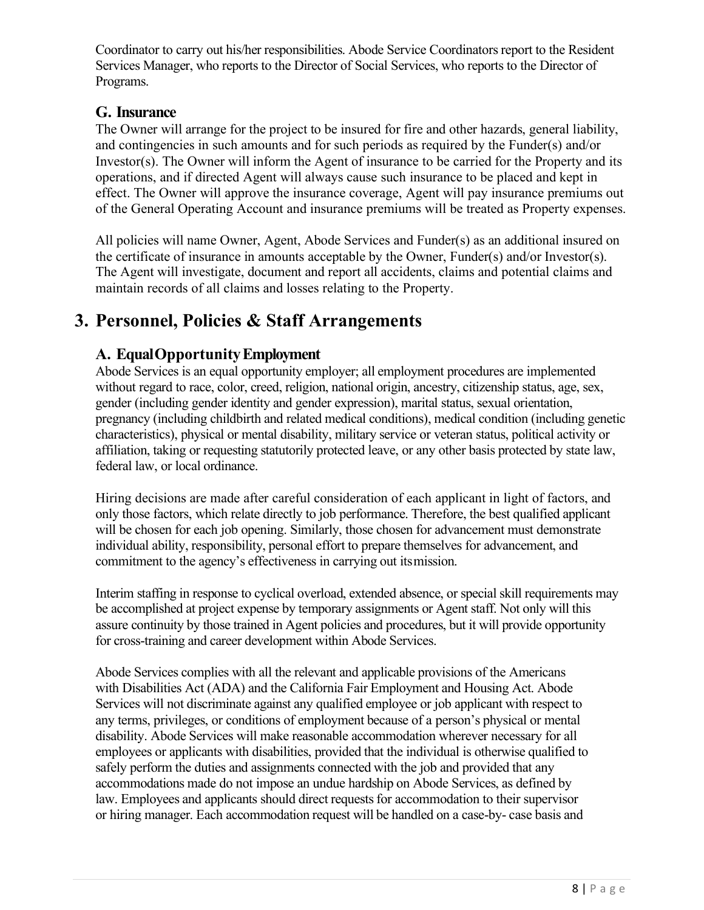Coordinator to carry out his/her responsibilities. Abode Service Coordinators report to the Resident Services Manager, who reports to the Director of Social Services, who reports to the Director of Programs.

### <span id="page-7-0"></span>**G. Insurance**

The Owner will arrange for the project to be insured for fire and other hazards, general liability, and contingencies in such amounts and for such periods as required by the Funder(s) and/or Investor(s). The Owner will inform the Agent of insurance to be carried for the Property and its operations, and if directed Agent will always cause such insurance to be placed and kept in effect. The Owner will approve the insurance coverage, Agent will pay insurance premiums out of the General Operating Account and insurance premiums will be treated as Property expenses.

All policies will name Owner, Agent, Abode Services and Funder(s) as an additional insured on the certificate of insurance in amounts acceptable by the Owner, Funder(s) and/or Investor(s). The Agent will investigate, document and report all accidents, claims and potential claims and maintain records of all claims and losses relating to the Property.

# <span id="page-7-2"></span><span id="page-7-1"></span>**3. Personnel, Policies & Staff Arrangements**

# **A. EqualOpportunityEmployment**

Abode Services is an equal opportunity employer; all employment procedures are implemented without regard to race, color, creed, religion, national origin, ancestry, citizenship status, age, sex, gender (including gender identity and gender expression), marital status, sexual orientation, pregnancy (including childbirth and related medical conditions), medical condition (including genetic characteristics), physical or mental disability, military service or veteran status, political activity or affiliation, taking or requesting statutorily protected leave, or any other basis protected by state law, federal law, or local ordinance.

Hiring decisions are made after careful consideration of each applicant in light of factors, and only those factors, which relate directly to job performance. Therefore, the best qualified applicant will be chosen for each job opening. Similarly, those chosen for advancement must demonstrate individual ability, responsibility, personal effort to prepare themselves for advancement, and commitment to the agency's effectiveness in carrying out itsmission.

Interim staffing in response to cyclical overload, extended absence, or special skill requirements may be accomplished at project expense by temporary assignments or Agent staff. Not only will this assure continuity by those trained in Agent policies and procedures, but it will provide opportunity for cross-training and career development within Abode Services.

Abode Services complies with all the relevant and applicable provisions of the Americans with Disabilities Act (ADA) and the California Fair Employment and Housing Act. Abode Services will not discriminate against any qualified employee or job applicant with respect to any terms, privileges, or conditions of employment because of a person's physical or mental disability. Abode Services will make reasonable accommodation wherever necessary for all employees or applicants with disabilities, provided that the individual is otherwise qualified to safely perform the duties and assignments connected with the job and provided that any accommodations made do not impose an undue hardship on Abode Services, as defined by law. Employees and applicants should direct requests for accommodation to their supervisor or hiring manager. Each accommodation request will be handled on a case-by- case basis and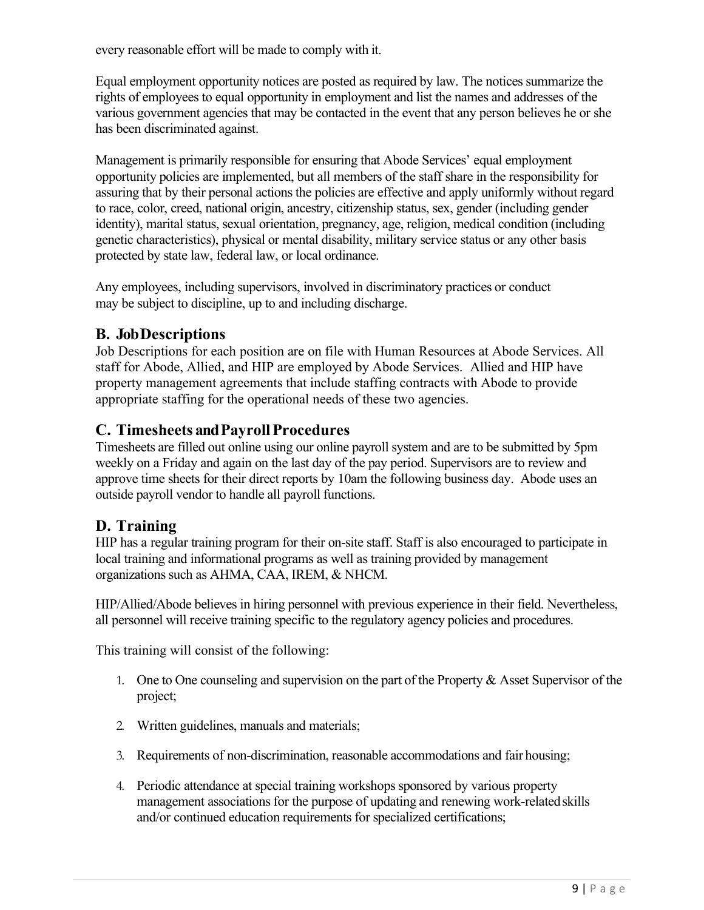every reasonable effort will be made to comply with it.

Equal employment opportunity notices are posted as required by law. The notices summarize the rights of employees to equal opportunity in employment and list the names and addresses of the various government agencies that may be contacted in the event that any person believes he or she has been discriminated against.

Management is primarily responsible for ensuring that Abode Services' equal employment opportunity policies are implemented, but all members of the staff share in the responsibility for assuring that by their personal actions the policies are effective and apply uniformly without regard to race, color, creed, national origin, ancestry, citizenship status, sex, gender (including gender identity), marital status, sexual orientation, pregnancy, age, religion, medical condition (including genetic characteristics), physical or mental disability, military service status or any other basis protected by state law, federal law, or local ordinance.

Any employees, including supervisors, involved in discriminatory practices or conduct may be subject to discipline, up to and including discharge.

### <span id="page-8-0"></span>**B. JobDescriptions**

Job Descriptions for each position are on file with Human Resources at Abode Services. All staff for Abode, Allied, and HIP are employed by Abode Services. Allied and HIP have property management agreements that include staffing contracts with Abode to provide appropriate staffing for the operational needs of these two agencies.

### <span id="page-8-1"></span>**C. Timesheets andPayrollProcedures**

Timesheets are filled out online using our online payroll system and are to be submitted by 5pm weekly on a Friday and again on the last day of the pay period. Supervisors are to review and approve time sheets for their direct reports by 10am the following business day. Abode uses an outside payroll vendor to handle all payroll functions.

# <span id="page-8-2"></span>**D. Training**

HIP has a regular training program for their on-site staff. Staff is also encouraged to participate in local training and informational programs as well as training provided by management organizations such as AHMA, CAA, IREM, & NHCM.

HIP/Allied/Abode believes in hiring personnel with previous experience in their field. Nevertheless, all personnel will receive training specific to the regulatory agency policies and procedures.

This training will consist of the following:

- 1. One to One counseling and supervision on the part of the Property & Asset Supervisor of the project;
- 2. Written guidelines, manuals and materials;
- 3. Requirements of non-discrimination, reasonable accommodations and fair housing;
- 4. Periodic attendance at special training workshops sponsored by various property management associations for the purpose of updating and renewing work-relatedskills and/or continued education requirements for specialized certifications;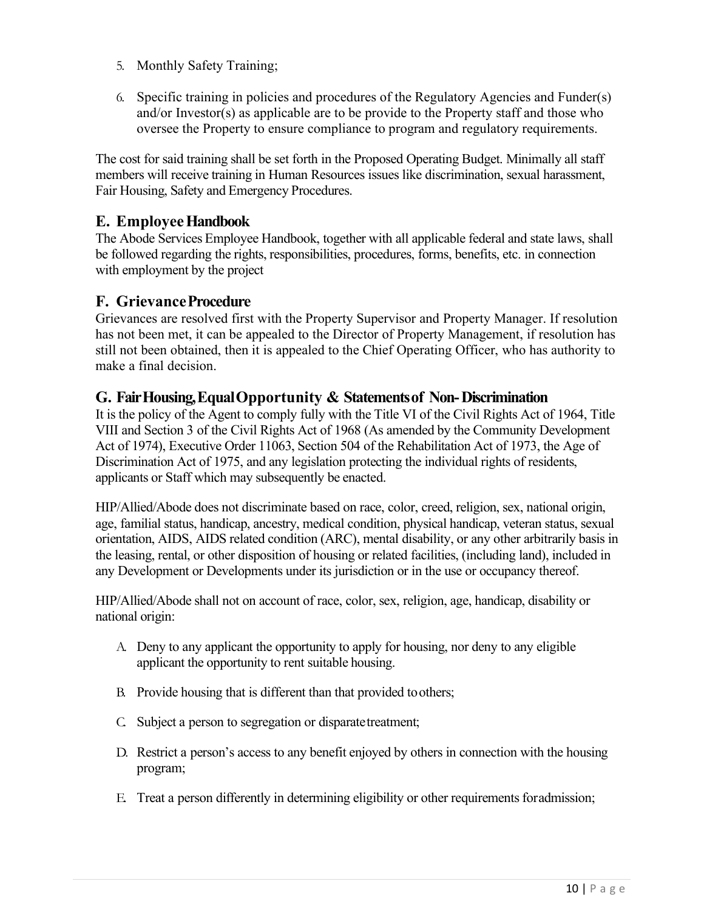- 5. Monthly Safety Training;
- 6. Specific training in policies and procedures of the Regulatory Agencies and Funder(s) and/or Investor(s) as applicable are to be provide to the Property staff and those who oversee the Property to ensure compliance to program and regulatory requirements.

The cost for said training shall be set forth in the Proposed Operating Budget. Minimally all staff members will receive training in Human Resources issues like discrimination, sexual harassment, Fair Housing, Safety and Emergency Procedures.

#### <span id="page-9-0"></span>**E. EmployeeHandbook**

The Abode Services Employee Handbook, together with all applicable federal and state laws, shall be followed regarding the rights, responsibilities, procedures, forms, benefits, etc. in connection with employment by the project

#### <span id="page-9-1"></span>**F. GrievanceProcedure**

Grievances are resolved first with the Property Supervisor and Property Manager. If resolution has not been met, it can be appealed to the Director of Property Management, if resolution has still not been obtained, then it is appealed to the Chief Operating Officer, who has authority to make a final decision.

#### <span id="page-9-2"></span>**G. FairHousing,EqualOpportunity & Statementsof Non-Discrimination**

It is the policy of the Agent to comply fully with the Title VI of the Civil Rights Act of 1964, Title VIII and Section 3 of the Civil Rights Act of 1968 (As amended by the Community Development Act of 1974), Executive Order 11063, Section 504 of the Rehabilitation Act of 1973, the Age of Discrimination Act of 1975, and any legislation protecting the individual rights of residents, applicants or Staff which may subsequently be enacted.

HIP/Allied/Abode does not discriminate based on race, color, creed, religion, sex, national origin, age, familial status, handicap, ancestry, medical condition, physical handicap, veteran status, sexual orientation, AIDS, AIDS related condition (ARC), mental disability, or any other arbitrarily basis in the leasing, rental, or other disposition of housing or related facilities, (including land), included in any Development or Developments under its jurisdiction or in the use or occupancy thereof.

HIP/Allied/Abode shall not on account of race, color, sex, religion, age, handicap, disability or national origin:

- A. Deny to any applicant the opportunity to apply for housing, nor deny to any eligible applicant the opportunity to rent suitable housing.
- B. Provide housing that is different than that provided toothers;
- C. Subject a person to segregation or disparatetreatment;
- D. Restrict a person's access to any benefit enjoyed by others in connection with the housing program;
- E. Treat a person differently in determining eligibility or other requirements foradmission;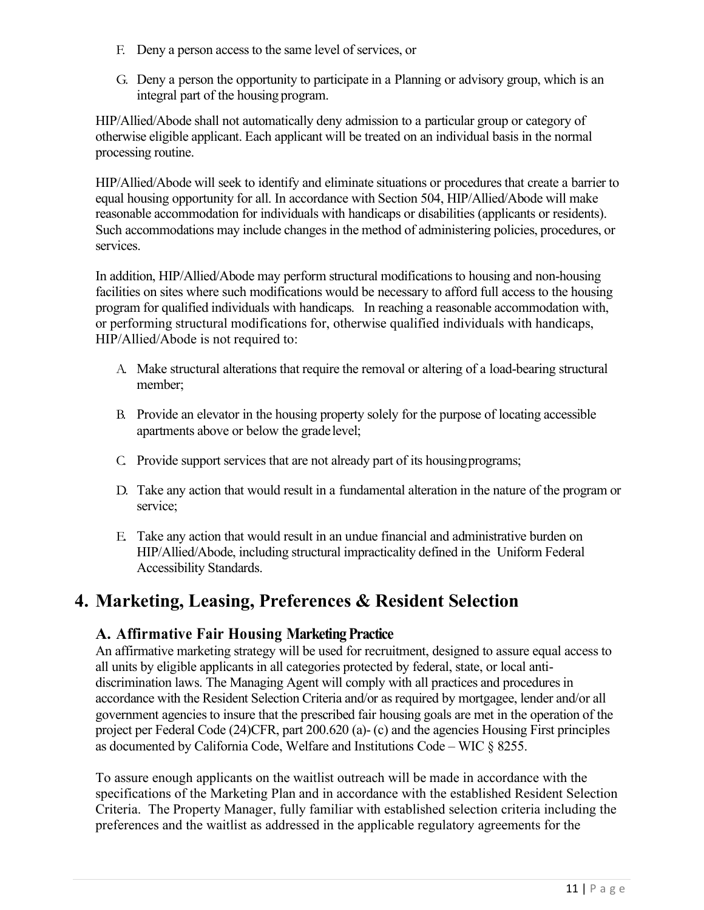- F. Deny a person access to the same level of services, or
- G. Deny a person the opportunity to participate in a Planning or advisory group, which is an integral part of the housing program.

HIP/Allied/Abode shall not automatically deny admission to a particular group or category of otherwise eligible applicant. Each applicant will be treated on an individual basis in the normal processing routine.

HIP/Allied/Abode will seek to identify and eliminate situations or procedures that create a barrier to equal housing opportunity for all. In accordance with Section 504, HIP/Allied/Abode will make reasonable accommodation for individuals with handicaps or disabilities (applicants or residents). Such accommodations may include changes in the method of administering policies, procedures, or services.

In addition, HIP/Allied/Abode may perform structural modifications to housing and non-housing facilities on sites where such modifications would be necessary to afford full access to the housing program for qualified individuals with handicaps. In reaching a reasonable accommodation with, or performing structural modifications for, otherwise qualified individuals with handicaps, HIP/Allied/Abode is not required to:

- A. Make structural alterations that require the removal or altering of a load-bearing structural member;
- B. Provide an elevator in the housing property solely for the purpose of locating accessible apartments above or below the gradelevel;
- C. Provide support services that are not already part of its housingprograms;
- D. Take any action that would result in a fundamental alteration in the nature of the program or service;
- E. Take any action that would result in an undue financial and administrative burden on HIP/Allied/Abode, including structural impracticality defined in the Uniform Federal Accessibility Standards.

# <span id="page-10-1"></span><span id="page-10-0"></span>**4. Marketing, Leasing, Preferences & Resident Selection**

### **A. Affirmative Fair Housing Marketing Practice**

An affirmative marketing strategy will be used for recruitment, designed to assure equal access to all units by eligible applicants in all categories protected by federal, state, or local antidiscrimination laws. The Managing Agent will comply with all practices and procedures in accordance with the Resident Selection Criteria and/or as required by mortgagee, lender and/or all government agencies to insure that the prescribed fair housing goals are met in the operation of the project per Federal Code (24)CFR, part 200.620 (a)- (c) and the agencies Housing First principles as documented by California Code, Welfare and Institutions Code – WIC § 8255.

To assure enough applicants on the waitlist outreach will be made in accordance with the specifications of the Marketing Plan and in accordance with the established Resident Selection Criteria. The Property Manager, fully familiar with established selection criteria including the preferences and the waitlist as addressed in the applicable regulatory agreements for the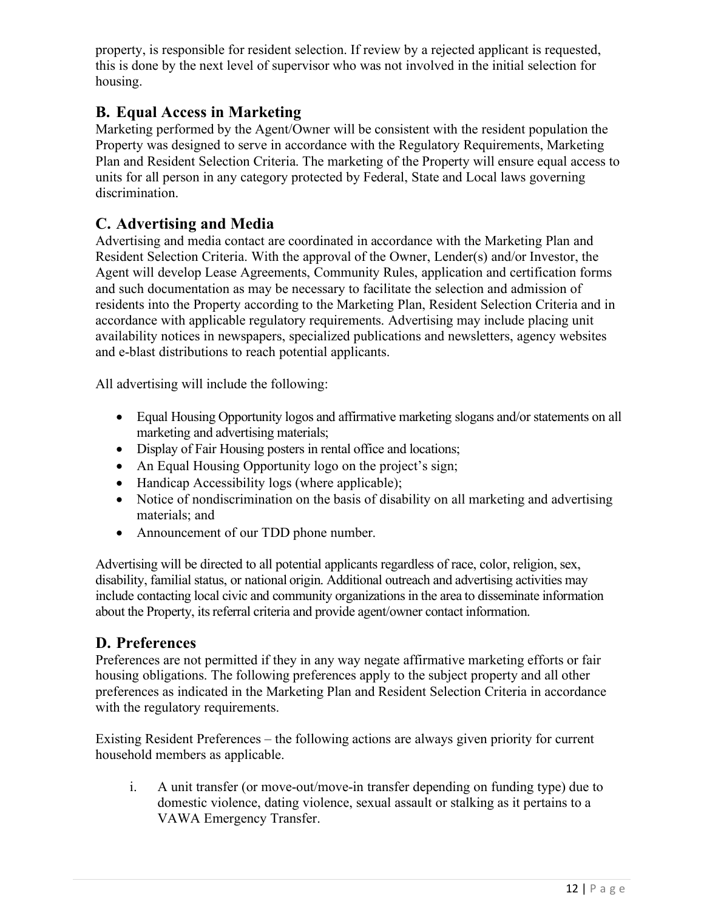property, is responsible for resident selection. If review by a rejected applicant is requested, this is done by the next level of supervisor who was not involved in the initial selection for housing.

## <span id="page-11-0"></span>**B. Equal Access in Marketing**

Marketing performed by the Agent/Owner will be consistent with the resident population the Property was designed to serve in accordance with the Regulatory Requirements, Marketing Plan and Resident Selection Criteria. The marketing of the Property will ensure equal access to units for all person in any category protected by Federal, State and Local laws governing discrimination.

### <span id="page-11-1"></span>**C. Advertising and Media**

Advertising and media contact are coordinated in accordance with the Marketing Plan and Resident Selection Criteria. With the approval of the Owner, Lender(s) and/or Investor, the Agent will develop Lease Agreements, Community Rules, application and certification forms and such documentation as may be necessary to facilitate the selection and admission of residents into the Property according to the Marketing Plan, Resident Selection Criteria and in accordance with applicable regulatory requirements. Advertising may include placing unit availability notices in newspapers, specialized publications and newsletters, agency websites and e-blast distributions to reach potential applicants.

All advertising will include the following:

- Equal Housing Opportunity logos and affirmative marketing slogans and/or statements on all marketing and advertising materials;
- Display of Fair Housing posters in rental office and locations;
- An Equal Housing Opportunity logo on the project's sign;
- Handicap Accessibility logs (where applicable);
- Notice of nondiscrimination on the basis of disability on all marketing and advertising materials; and
- Announcement of our TDD phone number.

Advertising will be directed to all potential applicants regardless of race, color, religion, sex, disability, familial status, or national origin. Additional outreach and advertising activities may include contacting local civic and community organizations in the area to disseminate information about the Property, its referral criteria and provide agent/owner contact information.

#### <span id="page-11-2"></span>**D. Preferences**

Preferences are not permitted if they in any way negate affirmative marketing efforts or fair housing obligations. The following preferences apply to the subject property and all other preferences as indicated in the Marketing Plan and Resident Selection Criteria in accordance with the regulatory requirements.

Existing Resident Preferences – the following actions are always given priority for current household members as applicable.

i. A unit transfer (or move-out/move-in transfer depending on funding type) due to domestic violence, dating violence, sexual assault or stalking as it pertains to a VAWA Emergency Transfer.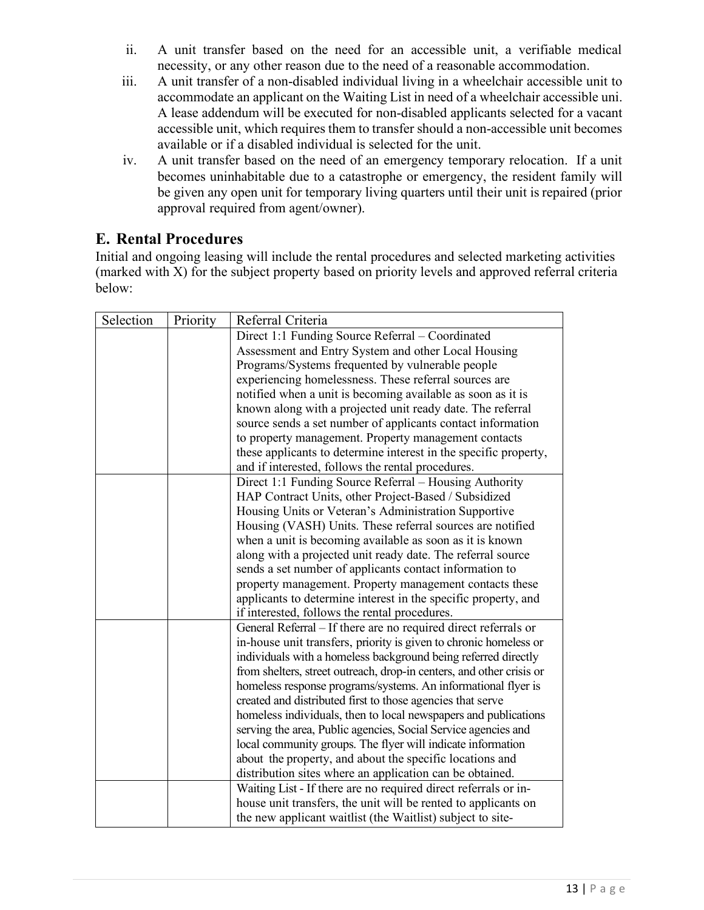- ii. A unit transfer based on the need for an accessible unit, a verifiable medical necessity, or any other reason due to the need of a reasonable accommodation.
- iii. A unit transfer of a non-disabled individual living in a wheelchair accessible unit to accommodate an applicant on the Waiting List in need of a wheelchair accessible uni. A lease addendum will be executed for non-disabled applicants selected for a vacant accessible unit, which requires them to transfer should a non-accessible unit becomes available or if a disabled individual is selected for the unit.
- iv. A unit transfer based on the need of an emergency temporary relocation. If a unit becomes uninhabitable due to a catastrophe or emergency, the resident family will be given any open unit for temporary living quarters until their unit is repaired (prior approval required from agent/owner).

### <span id="page-12-0"></span>**E. Rental Procedures**

Initial and ongoing leasing will include the rental procedures and selected marketing activities (marked with X) for the subject property based on priority levels and approved referral criteria below:

| Selection | Priority | Referral Criteria                                                    |  |  |
|-----------|----------|----------------------------------------------------------------------|--|--|
|           |          | Direct 1:1 Funding Source Referral - Coordinated                     |  |  |
|           |          | Assessment and Entry System and other Local Housing                  |  |  |
|           |          | Programs/Systems frequented by vulnerable people                     |  |  |
|           |          | experiencing homelessness. These referral sources are                |  |  |
|           |          | notified when a unit is becoming available as soon as it is          |  |  |
|           |          | known along with a projected unit ready date. The referral           |  |  |
|           |          | source sends a set number of applicants contact information          |  |  |
|           |          | to property management. Property management contacts                 |  |  |
|           |          | these applicants to determine interest in the specific property,     |  |  |
|           |          | and if interested, follows the rental procedures.                    |  |  |
|           |          | Direct 1:1 Funding Source Referral - Housing Authority               |  |  |
|           |          | HAP Contract Units, other Project-Based / Subsidized                 |  |  |
|           |          | Housing Units or Veteran's Administration Supportive                 |  |  |
|           |          | Housing (VASH) Units. These referral sources are notified            |  |  |
|           |          | when a unit is becoming available as soon as it is known             |  |  |
|           |          | along with a projected unit ready date. The referral source          |  |  |
|           |          | sends a set number of applicants contact information to              |  |  |
|           |          | property management. Property management contacts these              |  |  |
|           |          | applicants to determine interest in the specific property, and       |  |  |
|           |          | if interested, follows the rental procedures.                        |  |  |
|           |          | General Referral - If there are no required direct referrals or      |  |  |
|           |          | in-house unit transfers, priority is given to chronic homeless or    |  |  |
|           |          | individuals with a homeless background being referred directly       |  |  |
|           |          | from shelters, street outreach, drop-in centers, and other crisis or |  |  |
|           |          | homeless response programs/systems. An informational flyer is        |  |  |
|           |          | created and distributed first to those agencies that serve           |  |  |
|           |          | homeless individuals, then to local newspapers and publications      |  |  |
|           |          | serving the area, Public agencies, Social Service agencies and       |  |  |
|           |          | local community groups. The flyer will indicate information          |  |  |
|           |          | about the property, and about the specific locations and             |  |  |
|           |          | distribution sites where an application can be obtained.             |  |  |
|           |          | Waiting List - If there are no required direct referrals or in-      |  |  |
|           |          | house unit transfers, the unit will be rented to applicants on       |  |  |
|           |          | the new applicant waitlist (the Waitlist) subject to site-           |  |  |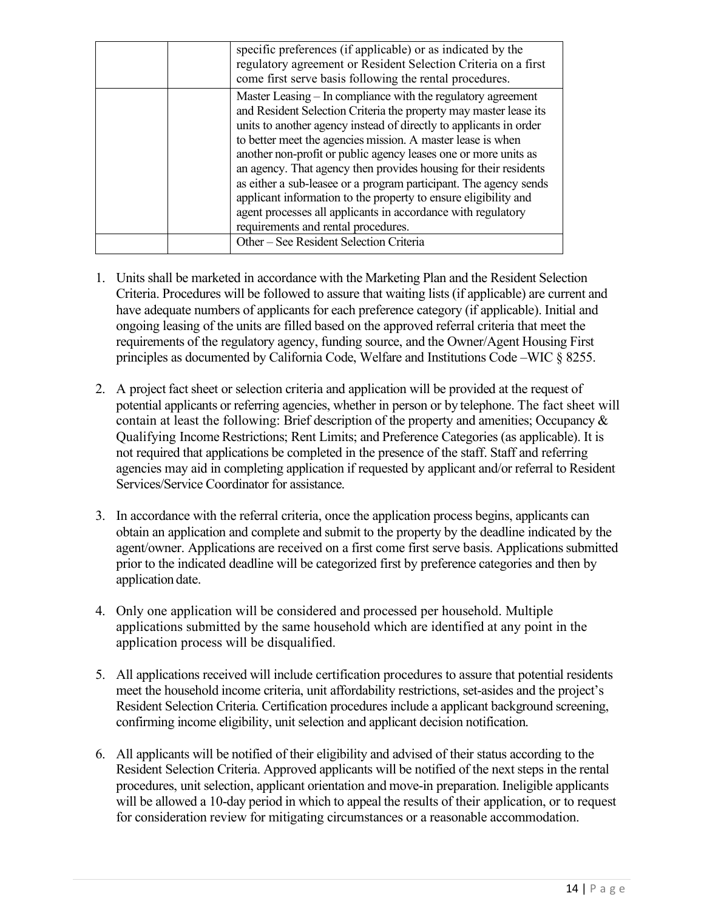| specific preferences (if applicable) or as indicated by the<br>regulatory agreement or Resident Selection Criteria on a first<br>come first serve basis following the rental procedures.                                                                                                                                                                                                                                                                                                                                                                                                                                                                     |
|--------------------------------------------------------------------------------------------------------------------------------------------------------------------------------------------------------------------------------------------------------------------------------------------------------------------------------------------------------------------------------------------------------------------------------------------------------------------------------------------------------------------------------------------------------------------------------------------------------------------------------------------------------------|
| Master Leasing – In compliance with the regulatory agreement<br>and Resident Selection Criteria the property may master lease its<br>units to another agency instead of directly to applicants in order<br>to better meet the agencies mission. A master lease is when<br>another non-profit or public agency leases one or more units as<br>an agency. That agency then provides housing for their residents<br>as either a sub-leasee or a program participant. The agency sends<br>applicant information to the property to ensure eligibility and<br>agent processes all applicants in accordance with regulatory<br>requirements and rental procedures. |
| Other – See Resident Selection Criteria                                                                                                                                                                                                                                                                                                                                                                                                                                                                                                                                                                                                                      |

- 1. Units shall be marketed in accordance with the Marketing Plan and the Resident Selection Criteria. Procedures will be followed to assure that waiting lists (if applicable) are current and have adequate numbers of applicants for each preference category (if applicable). Initial and ongoing leasing of the units are filled based on the approved referral criteria that meet the requirements of the regulatory agency, funding source, and the Owner/Agent Housing First principles as documented by California Code, Welfare and Institutions Code –WIC § 8255.
- 2. A project fact sheet or selection criteria and application will be provided at the request of potential applicants or referring agencies, whether in person or by telephone. The fact sheet will contain at least the following: Brief description of the property and amenities; Occupancy & Qualifying Income Restrictions; Rent Limits; and Preference Categories (as applicable). It is not required that applications be completed in the presence of the staff. Staff and referring agencies may aid in completing application if requested by applicant and/or referral to Resident Services/Service Coordinator for assistance.
- 3. In accordance with the referral criteria, once the application process begins, applicants can obtain an application and complete and submit to the property by the deadline indicated by the agent/owner. Applications are received on a first come first serve basis. Applications submitted prior to the indicated deadline will be categorized first by preference categories and then by application date.
- 4. Only one application will be considered and processed per household. Multiple applications submitted by the same household which are identified at any point in the application process will be disqualified.
- 5. All applications received will include certification procedures to assure that potential residents meet the household income criteria, unit affordability restrictions, set-asides and the project's Resident Selection Criteria. Certification procedures include a applicant background screening, confirming income eligibility, unit selection and applicant decision notification.
- 6. All applicants will be notified of their eligibility and advised of their status according to the Resident Selection Criteria. Approved applicants will be notified of the next steps in the rental procedures, unit selection, applicant orientation and move-in preparation. Ineligible applicants will be allowed a 10-day period in which to appeal the results of their application, or to request for consideration review for mitigating circumstances or a reasonable accommodation.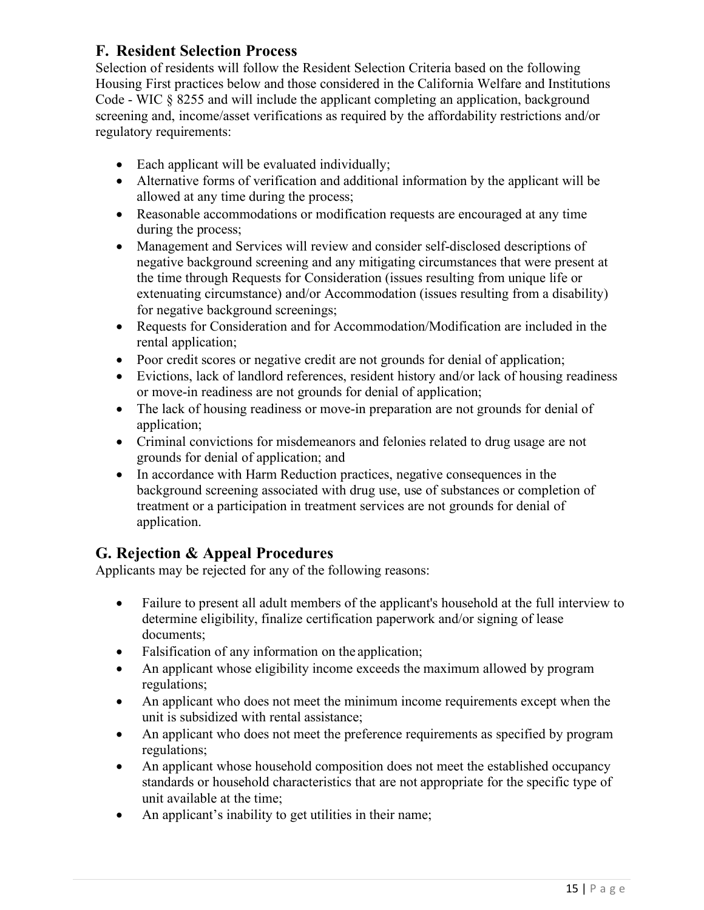### <span id="page-14-0"></span>**F. Resident Selection Process**

Selection of residents will follow the Resident Selection Criteria based on the following Housing First practices below and those considered in the California Welfare and Institutions Code - WIC § 8255 and will include the applicant completing an application, background screening and, income/asset verifications as required by the affordability restrictions and/or regulatory requirements:

- Each applicant will be evaluated individually;
- Alternative forms of verification and additional information by the applicant will be allowed at any time during the process;
- Reasonable accommodations or modification requests are encouraged at any time during the process;
- Management and Services will review and consider self-disclosed descriptions of negative background screening and any mitigating circumstances that were present at the time through Requests for Consideration (issues resulting from unique life or extenuating circumstance) and/or Accommodation (issues resulting from a disability) for negative background screenings;
- Requests for Consideration and for Accommodation/Modification are included in the rental application;
- Poor credit scores or negative credit are not grounds for denial of application;
- Evictions, lack of landlord references, resident history and/or lack of housing readiness or move-in readiness are not grounds for denial of application;
- The lack of housing readiness or move-in preparation are not grounds for denial of application;
- Criminal convictions for misdemeanors and felonies related to drug usage are not grounds for denial of application; and
- In accordance with Harm Reduction practices, negative consequences in the background screening associated with drug use, use of substances or completion of treatment or a participation in treatment services are not grounds for denial of application.

# <span id="page-14-1"></span>**G. Rejection & Appeal Procedures**

Applicants may be rejected for any of the following reasons:

- Failure to present all adult members of the applicant's household at the full interview to determine eligibility, finalize certification paperwork and/or signing of lease documents;
- Falsification of any information on the application;
- An applicant whose eligibility income exceeds the maximum allowed by program regulations;
- An applicant who does not meet the minimum income requirements except when the unit is subsidized with rental assistance;
- An applicant who does not meet the preference requirements as specified by program regulations;
- An applicant whose household composition does not meet the established occupancy standards or household characteristics that are not appropriate for the specific type of unit available at the time;
- An applicant's inability to get utilities in their name;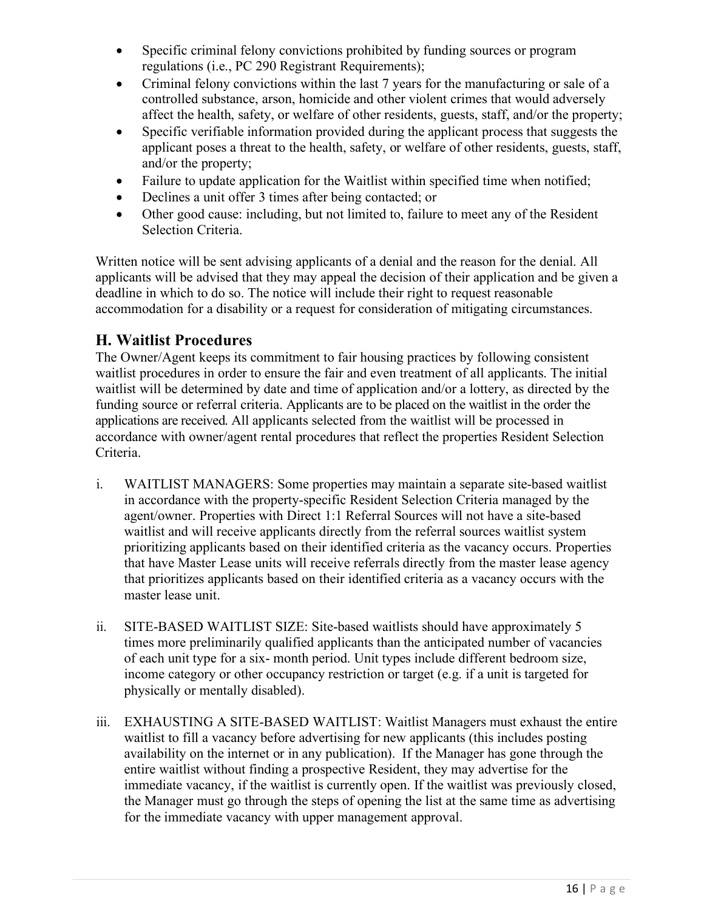- Specific criminal felony convictions prohibited by funding sources or program regulations (i.e., PC 290 Registrant Requirements);
- Criminal felony convictions within the last 7 years for the manufacturing or sale of a controlled substance, arson, homicide and other violent crimes that would adversely affect the health, safety, or welfare of other residents, guests, staff, and/or the property;
- Specific verifiable information provided during the applicant process that suggests the applicant poses a threat to the health, safety, or welfare of other residents, guests, staff, and/or the property;
- Failure to update application for the Waitlist within specified time when notified;
- Declines a unit offer 3 times after being contacted; or
- Other good cause: including, but not limited to, failure to meet any of the Resident Selection Criteria.

Written notice will be sent advising applicants of a denial and the reason for the denial. All applicants will be advised that they may appeal the decision of their application and be given a deadline in which to do so. The notice will include their right to request reasonable accommodation for a disability or a request for consideration of mitigating circumstances.

#### <span id="page-15-0"></span>**H. Waitlist Procedures**

The Owner/Agent keeps its commitment to fair housing practices by following consistent waitlist procedures in order to ensure the fair and even treatment of all applicants. The initial waitlist will be determined by date and time of application and/or a lottery, as directed by the funding source or referral criteria. Applicants are to be placed on the waitlist in the order the applications are received. All applicants selected from the waitlist will be processed in accordance with owner/agent rental procedures that reflect the properties Resident Selection Criteria.

- i. WAITLIST MANAGERS: Some properties may maintain a separate site-based waitlist in accordance with the property-specific Resident Selection Criteria managed by the agent/owner. Properties with Direct 1:1 Referral Sources will not have a site-based waitlist and will receive applicants directly from the referral sources waitlist system prioritizing applicants based on their identified criteria as the vacancy occurs. Properties that have Master Lease units will receive referrals directly from the master lease agency that prioritizes applicants based on their identified criteria as a vacancy occurs with the master lease unit.
- ii. SITE-BASED WAITLIST SIZE: Site-based waitlists should have approximately 5 times more preliminarily qualified applicants than the anticipated number of vacancies of each unit type for a six- month period. Unit types include different bedroom size, income category or other occupancy restriction or target (e.g. if a unit is targeted for physically or mentally disabled).
- iii. EXHAUSTING A SITE-BASED WAITLIST: Waitlist Managers must exhaust the entire waitlist to fill a vacancy before advertising for new applicants (this includes posting availability on the internet or in any publication). If the Manager has gone through the entire waitlist without finding a prospective Resident, they may advertise for the immediate vacancy, if the waitlist is currently open. If the waitlist was previously closed, the Manager must go through the steps of opening the list at the same time as advertising for the immediate vacancy with upper management approval.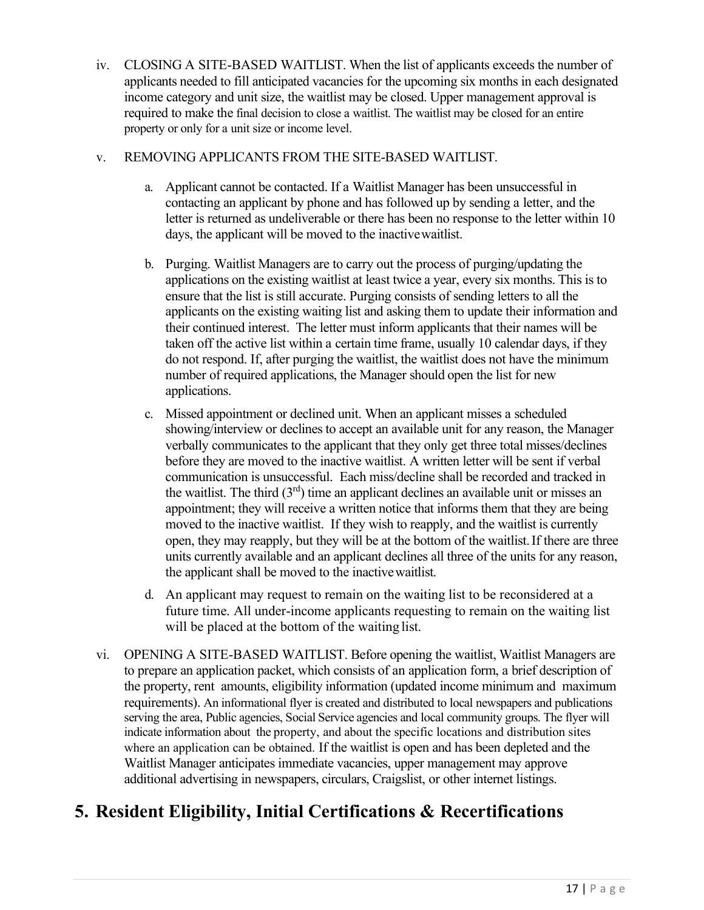iv. CLOSING A SITE-BASED WAITLIST. When the list of applicants exceeds the number of applicants needed to fill anticipated vacancies for the upcoming six months in each designated income category and unit size, the waitlist may be closed. Upper management approval is required to make the final decision to close a waitlist. The waitlist may be closed for an entire property or only for a unit size or income level.

#### v. REMOVING APPLICANTS FROM THE SITE-BASED WAITLIST.

- a. Applicant cannot be contacted. If a Waitlist Manager has been unsuccessful in contacting an applicant by phone and has followed up by sending a letter, and the letter is returned as undeliverable or there has been no response to the letter within 10 days, the applicant will be moved to the inactivewaitlist.
- b. Purging. Waitlist Managers are to carry out the process of purging/updating the applications on the existing waitlist at least twice a year, every six months. This is to ensure that the list is still accurate. Purging consists of sending letters to all the applicants on the existing waiting list and asking them to update their information and their continued interest. The letter must inform applicants that their names will be taken off the active list within a certain time frame, usually 10 calendar days, if they do not respond. If, after purging the waitlist, the waitlist does not have the minimum number of required applications, the Manager should open the list for new applications.
- c. Missed appointment or declined unit. When an applicant misses a scheduled showing/interview or declines to accept an available unit for any reason, the Manager verbally communicates to the applicant that they only get three total misses/declines before they are moved to the inactive waitlist. A written letter will be sent if verbal communication is unsuccessful. Each miss/decline shall be recorded and tracked in the waitlist. The third  $(3<sup>rd</sup>)$  time an applicant declines an available unit or misses an appointment; they will receive a written notice that informs them that they are being moved to the inactive waitlist. If they wish to reapply, and the waitlist is currently open, they may reapply, but they will be at the bottom of the waitlist.If there are three units currently available and an applicant declines all three of the units for any reason, the applicant shall be moved to the inactivewaitlist.
- d. An applicant may request to remain on the waiting list to be reconsidered at a future time. All under-income applicants requesting to remain on the waiting list will be placed at the bottom of the waiting list.
- vi. OPENING A SITE-BASED WAITLIST. Before opening the waitlist, Waitlist Managers are to prepare an application packet, which consists of an application form, a brief description of the property, rent amounts, eligibility information (updated income minimum and maximum requirements). An informational flyer is created and distributed to local newspapers and publications serving the area, Public agencies, Social Service agencies and local community groups. The flyer will indicate information about the property, and about the specific locations and distribution sites where an application can be obtained. If the waitlist is open and has been depleted and the Waitlist Manager anticipates immediate vacancies, upper management may approve additional advertising in newspapers, circulars, Craigslist, or other internet listings.

# <span id="page-16-0"></span>**5. Resident Eligibility, Initial Certifications & Recertifications**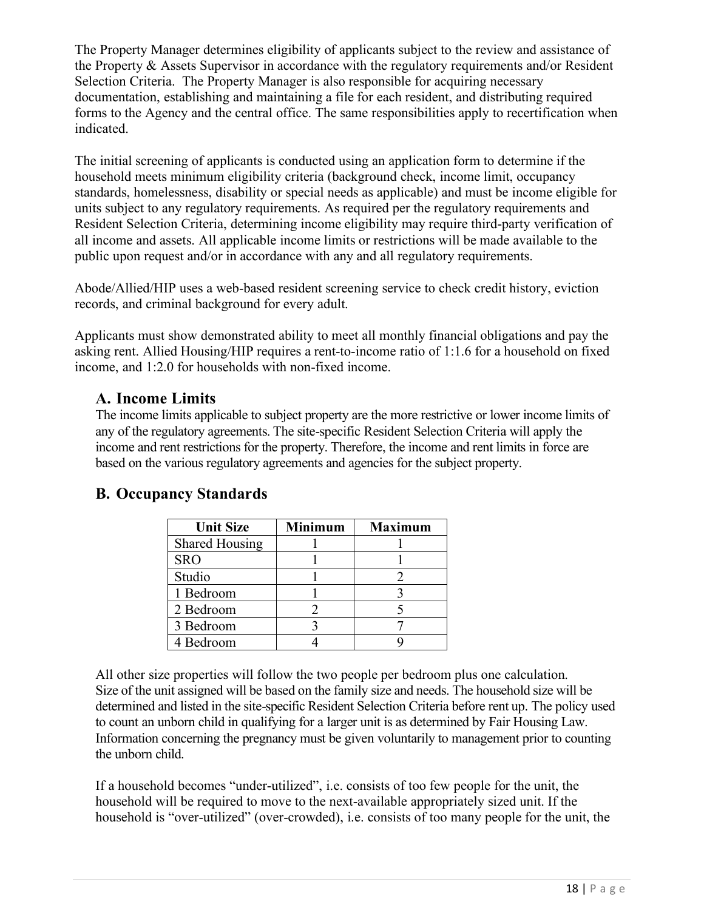The Property Manager determines eligibility of applicants subject to the review and assistance of the Property & Assets Supervisor in accordance with the regulatory requirements and/or Resident Selection Criteria. The Property Manager is also responsible for acquiring necessary documentation, establishing and maintaining a file for each resident, and distributing required forms to the Agency and the central office. The same responsibilities apply to recertification when indicated.

The initial screening of applicants is conducted using an application form to determine if the household meets minimum eligibility criteria (background check, income limit, occupancy standards, homelessness, disability or special needs as applicable) and must be income eligible for units subject to any regulatory requirements. As required per the regulatory requirements and Resident Selection Criteria, determining income eligibility may require third-party verification of all income and assets. All applicable income limits or restrictions will be made available to the public upon request and/or in accordance with any and all regulatory requirements.

Abode/Allied/HIP uses a web-based resident screening service to check credit history, eviction records, and criminal background for every adult.

Applicants must show demonstrated ability to meet all monthly financial obligations and pay the asking rent. Allied Housing/HIP requires a rent-to-income ratio of 1:1.6 for a household on fixed income, and 1:2.0 for households with non-fixed income.

#### <span id="page-17-0"></span>**A. Income Limits**

The income limits applicable to subject property are the more restrictive or lower income limits of any of the regulatory agreements. The site-specific Resident Selection Criteria will apply the income and rent restrictions for the property. Therefore, the income and rent limits in force are based on the various regulatory agreements and agencies for the subject property.

### <span id="page-17-1"></span>**B. Occupancy Standards**

| <b>Unit Size</b>      | <b>Minimum</b> | <b>Maximum</b> |
|-----------------------|----------------|----------------|
| <b>Shared Housing</b> |                |                |
| <b>SRO</b>            |                |                |
| Studio                |                |                |
| 1 Bedroom             |                |                |
| 2 Bedroom             |                |                |
| 3 Bedroom             |                |                |
| 4 Bedroom             |                |                |

All other size properties will follow the two people per bedroom plus one calculation. Size of the unit assigned will be based on the family size and needs. The household size will be determined and listed in the site-specific Resident Selection Criteria before rent up. The policy used to count an unborn child in qualifying for a larger unit is as determined by Fair Housing Law. Information concerning the pregnancy must be given voluntarily to management prior to counting the unborn child.

If a household becomes "under-utilized", i.e. consists of too few people for the unit, the household will be required to move to the next-available appropriately sized unit. If the household is "over-utilized" (over-crowded), i.e. consists of too many people for the unit, the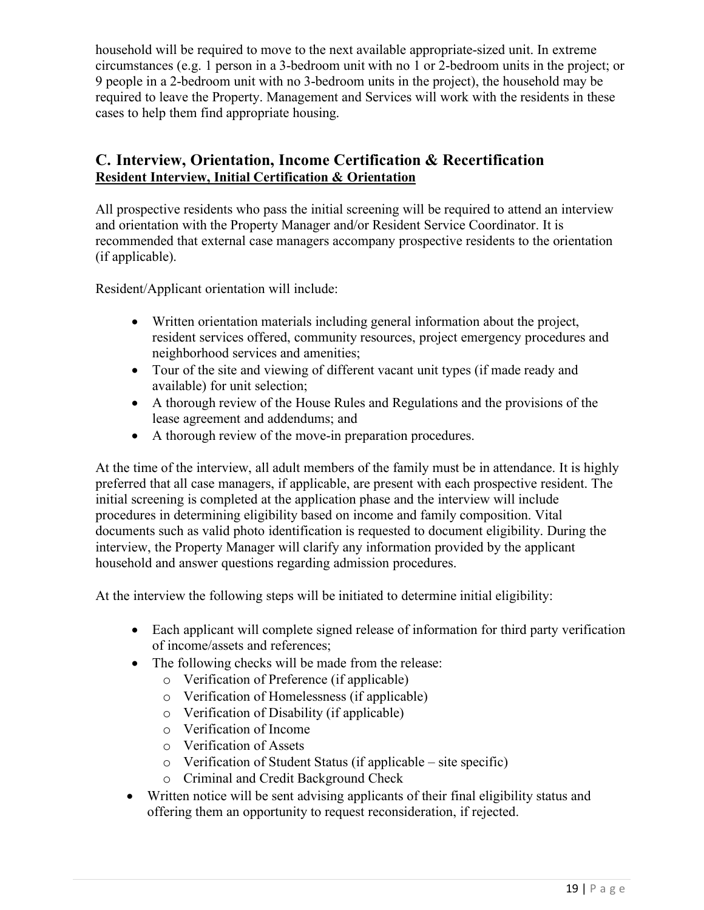household will be required to move to the next available appropriate-sized unit. In extreme circumstances (e.g. 1 person in a 3-bedroom unit with no 1 or 2-bedroom units in the project; or 9 people in a 2-bedroom unit with no 3-bedroom units in the project), the household may be required to leave the Property. Management and Services will work with the residents in these cases to help them find appropriate housing.

### <span id="page-18-0"></span>**C. Interview, Orientation, Income Certification & Recertification Resident Interview, Initial Certification & Orientation**

All prospective residents who pass the initial screening will be required to attend an interview and orientation with the Property Manager and/or Resident Service Coordinator. It is recommended that external case managers accompany prospective residents to the orientation (if applicable).

Resident/Applicant orientation will include:

- Written orientation materials including general information about the project, resident services offered, community resources, project emergency procedures and neighborhood services and amenities;
- Tour of the site and viewing of different vacant unit types (if made ready and available) for unit selection;
- A thorough review of the House Rules and Regulations and the provisions of the lease agreement and addendums; and
- A thorough review of the move-in preparation procedures.

At the time of the interview, all adult members of the family must be in attendance. It is highly preferred that all case managers, if applicable, are present with each prospective resident. The initial screening is completed at the application phase and the interview will include procedures in determining eligibility based on income and family composition. Vital documents such as valid photo identification is requested to document eligibility. During the interview, the Property Manager will clarify any information provided by the applicant household and answer questions regarding admission procedures.

At the interview the following steps will be initiated to determine initial eligibility:

- Each applicant will complete signed release of information for third party verification of income/assets and references;
- The following checks will be made from the release:
	- o Verification of Preference (if applicable)
	- o Verification of Homelessness (if applicable)
	- o Verification of Disability (if applicable)
	- o Verification of Income
	- o Verification of Assets
	- o Verification of Student Status (if applicable site specific)
	- o Criminal and Credit Background Check
- Written notice will be sent advising applicants of their final eligibility status and offering them an opportunity to request reconsideration, if rejected.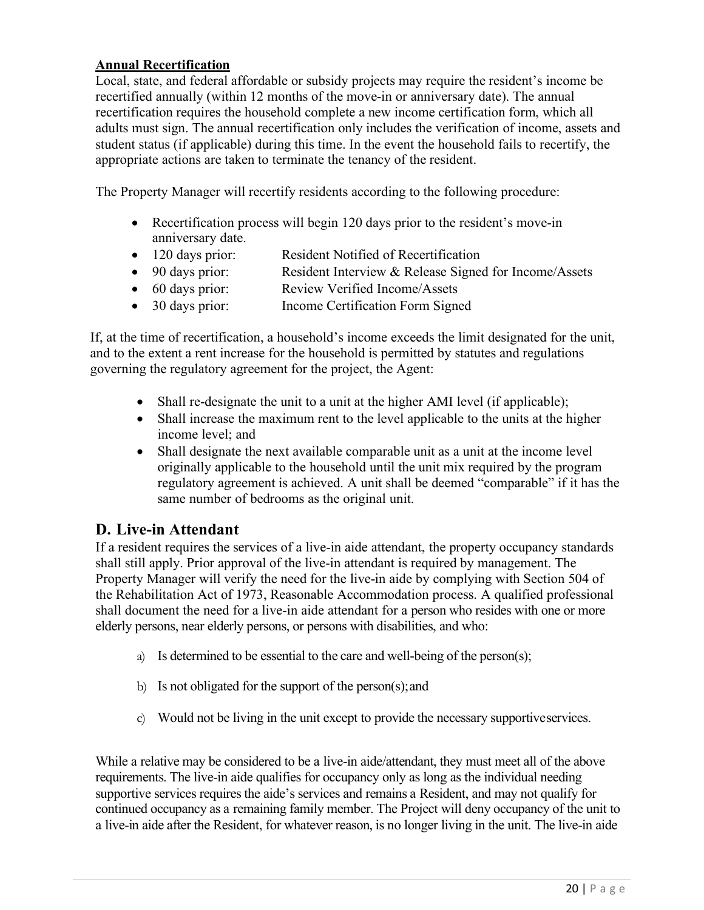#### **Annual Recertification**

Local, state, and federal affordable or subsidy projects may require the resident's income be recertified annually (within 12 months of the move-in or anniversary date). The annual recertification requires the household complete a new income certification form, which all adults must sign. The annual recertification only includes the verification of income, assets and student status (if applicable) during this time. In the event the household fails to recertify, the appropriate actions are taken to terminate the tenancy of the resident.

The Property Manager will recertify residents according to the following procedure:

- Recertification process will begin 120 days prior to the resident's move-in anniversary date.
- 120 days prior: Resident Notified of Recertification
- 90 days prior: Resident Interview & Release Signed for Income/Assets
- 60 days prior: Review Verified Income/Assets
- 30 days prior: Income Certification Form Signed

If, at the time of recertification, a household's income exceeds the limit designated for the unit, and to the extent a rent increase for the household is permitted by statutes and regulations governing the regulatory agreement for the project, the Agent:

- Shall re-designate the unit to a unit at the higher AMI level (if applicable);
- Shall increase the maximum rent to the level applicable to the units at the higher income level; and
- Shall designate the next available comparable unit as a unit at the income level originally applicable to the household until the unit mix required by the program regulatory agreement is achieved. A unit shall be deemed "comparable" if it has the same number of bedrooms as the original unit.

### <span id="page-19-0"></span>**D. Live-in Attendant**

If a resident requires the services of a live-in aide attendant, the property occupancy standards shall still apply. Prior approval of the live-in attendant is required by management. The Property Manager will verify the need for the live-in aide by complying with Section 504 of the Rehabilitation Act of 1973, Reasonable Accommodation process. A qualified professional shall document the need for a live-in aide attendant for a person who resides with one or more elderly persons, near elderly persons, or persons with disabilities, and who:

- a) Is determined to be essential to the care and well-being of the person(s);
- b) Is not obligated for the support of the person(s);and
- c) Would not be living in the unit except to provide the necessary supportiveservices.

While a relative may be considered to be a live-in aide/attendant, they must meet all of the above requirements. The live-in aide qualifies for occupancy only as long as the individual needing supportive services requires the aide's services and remains a Resident, and may not qualify for continued occupancy as a remaining family member. The Project will deny occupancy of the unit to a live-in aide after the Resident, for whatever reason, is no longer living in the unit. The live-in aide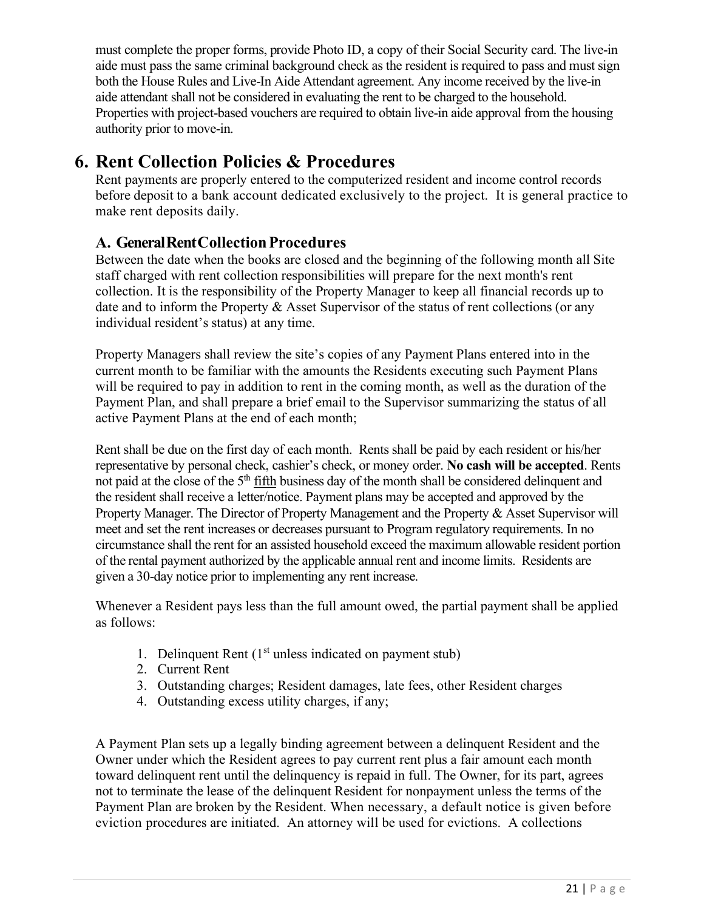must complete the proper forms, provide Photo ID, a copy of their Social Security card. The live-in aide must pass the same criminal background check as the resident is required to pass and must sign both the House Rules and Live-In Aide Attendant agreement. Any income received by the live-in aide attendant shall not be considered in evaluating the rent to be charged to the household. Properties with project-based vouchers are required to obtain live-in aide approval from the housing authority prior to move-in.

# <span id="page-20-0"></span>**6. Rent Collection Policies & Procedures**

Rent payments are properly entered to the computerized resident and income control records before deposit to a bank account dedicated exclusively to the project. It is general practice to make rent deposits daily.

# <span id="page-20-1"></span>**A. GeneralRentCollectionProcedures**

Between the date when the books are closed and the beginning of the following month all Site staff charged with rent collection responsibilities will prepare for the next month's rent collection. It is the responsibility of the Property Manager to keep all financial records up to date and to inform the Property & Asset Supervisor of the status of rent collections (or any individual resident's status) at any time.

Property Managers shall review the site's copies of any Payment Plans entered into in the current month to be familiar with the amounts the Residents executing such Payment Plans will be required to pay in addition to rent in the coming month, as well as the duration of the Payment Plan, and shall prepare a brief email to the Supervisor summarizing the status of all active Payment Plans at the end of each month;

Rent shall be due on the first day of each month. Rents shall be paid by each resident or his/her representative by personal check, cashier's check, or money order. **No cash will be accepted**. Rents not paid at the close of the 5<sup>th</sup> fifth business day of the month shall be considered delinquent and the resident shall receive a letter/notice. Payment plans may be accepted and approved by the Property Manager. The Director of Property Management and the Property & Asset Supervisor will meet and set the rent increases or decreases pursuant to Program regulatory requirements. In no circumstance shall the rent for an assisted household exceed the maximum allowable resident portion of the rental payment authorized by the applicable annual rent and income limits. Residents are given a 30-day notice prior to implementing any rent increase.

Whenever a Resident pays less than the full amount owed, the partial payment shall be applied as follows:

- 1. Delinquent Rent  $(1<sup>st</sup>$  unless indicated on payment stub)
- 2. Current Rent
- 3. Outstanding charges; Resident damages, late fees, other Resident charges
- 4. Outstanding excess utility charges, if any;

A Payment Plan sets up a legally binding agreement between a delinquent Resident and the Owner under which the Resident agrees to pay current rent plus a fair amount each month toward delinquent rent until the delinquency is repaid in full. The Owner, for its part, agrees not to terminate the lease of the delinquent Resident for nonpayment unless the terms of the Payment Plan are broken by the Resident. When necessary, a default notice is given before eviction procedures are initiated. An attorney will be used for evictions. A collections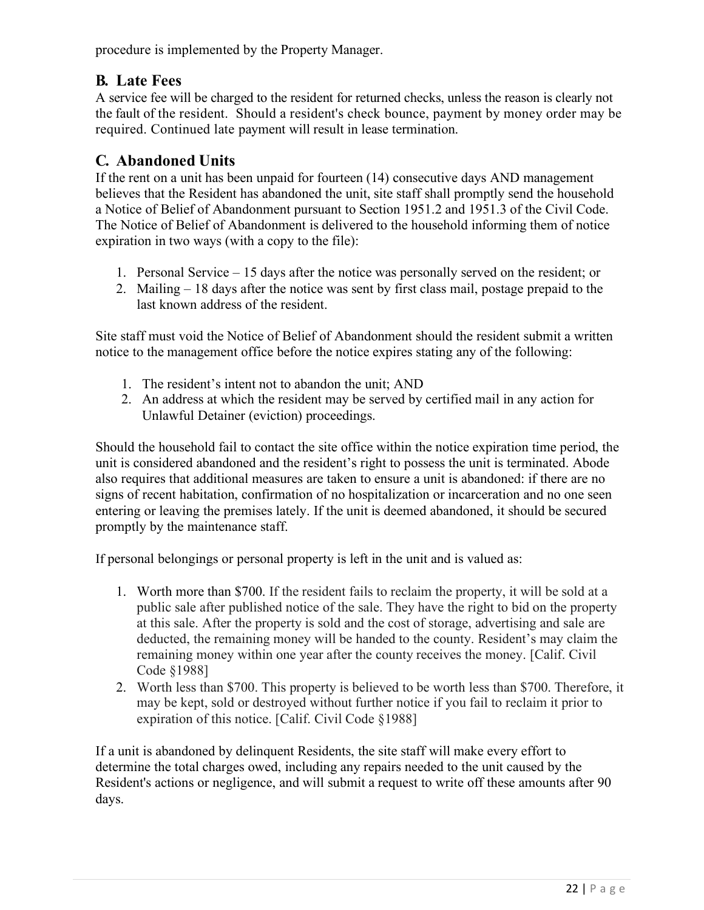<span id="page-21-0"></span>procedure is implemented by the Property Manager.

# **B. Late Fees**

A service fee will be charged to the resident for returned checks, unless the reason is clearly not the fault of the resident. Should a resident's check bounce, payment by money order may be required. Continued late payment will result in lease termination.

# <span id="page-21-1"></span>**C. Abandoned Units**

If the rent on a unit has been unpaid for fourteen (14) consecutive days AND management believes that the Resident has abandoned the unit, site staff shall promptly send the household a Notice of Belief of Abandonment pursuant to Section 1951.2 and 1951.3 of the Civil Code. The Notice of Belief of Abandonment is delivered to the household informing them of notice expiration in two ways (with a copy to the file):

- 1. Personal Service 15 days after the notice was personally served on the resident; or
- 2. Mailing 18 days after the notice was sent by first class mail, postage prepaid to the last known address of the resident.

Site staff must void the Notice of Belief of Abandonment should the resident submit a written notice to the management office before the notice expires stating any of the following:

- 1. The resident's intent not to abandon the unit; AND
- 2. An address at which the resident may be served by certified mail in any action for Unlawful Detainer (eviction) proceedings.

Should the household fail to contact the site office within the notice expiration time period, the unit is considered abandoned and the resident's right to possess the unit is terminated. Abode also requires that additional measures are taken to ensure a unit is abandoned: if there are no signs of recent habitation, confirmation of no hospitalization or incarceration and no one seen entering or leaving the premises lately. If the unit is deemed abandoned, it should be secured promptly by the maintenance staff.

If personal belongings or personal property is left in the unit and is valued as:

- 1. Worth more than \$700. If the resident fails to reclaim the property, it will be sold at a public sale after published notice of the sale. They have the right to bid on the property at this sale. After the property is sold and the cost of storage, advertising and sale are deducted, the remaining money will be handed to the county. Resident's may claim the remaining money within one year after the county receives the money. [Calif. Civil Code §1988]
- 2. Worth less than \$700. This property is believed to be worth less than \$700. Therefore, it may be kept, sold or destroyed without further notice if you fail to reclaim it prior to expiration of this notice. [Calif. Civil Code §1988]

If a unit is abandoned by delinquent Residents, the site staff will make every effort to determine the total charges owed, including any repairs needed to the unit caused by the Resident's actions or negligence, and will submit a request to write off these amounts after 90 days.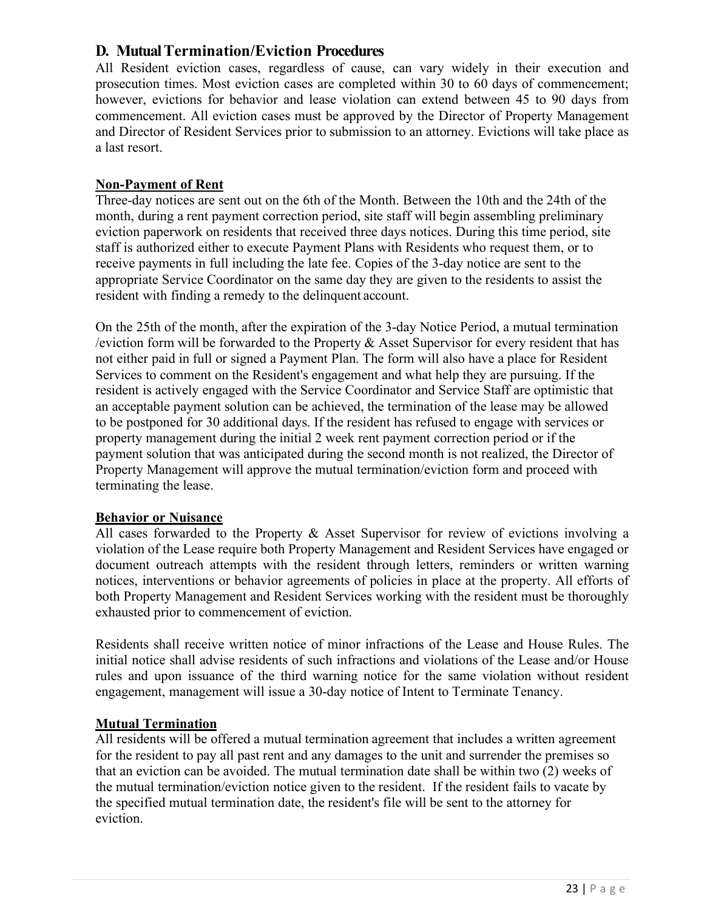#### <span id="page-22-0"></span>**D. Mutual Termination/Eviction Procedures**

All Resident eviction cases, regardless of cause, can vary widely in their execution and prosecution times. Most eviction cases are completed within 30 to 60 days of commencement; however, evictions for behavior and lease violation can extend between 45 to 90 days from commencement. All eviction cases must be approved by the Director of Property Management and Director of Resident Services prior to submission to an attorney. Evictions will take place as a last resort.

#### **Non-Payment of Rent**

Three-day notices are sent out on the 6th of the Month. Between the 10th and the 24th of the month, during a rent payment correction period, site staff will begin assembling preliminary eviction paperwork on residents that received three days notices. During this time period, site staff is authorized either to execute Payment Plans with Residents who request them, or to receive payments in full including the late fee. Copies of the 3-day notice are sent to the appropriate Service Coordinator on the same day they are given to the residents to assist the resident with finding a remedy to the delinquent account.

On the 25th of the month, after the expiration of the 3-day Notice Period, a mutual termination /eviction form will be forwarded to the Property & Asset Supervisor for every resident that has not either paid in full or signed a Payment Plan. The form will also have a place for Resident Services to comment on the Resident's engagement and what help they are pursuing. If the resident is actively engaged with the Service Coordinator and Service Staff are optimistic that an acceptable payment solution can be achieved, the termination of the lease may be allowed to be postponed for 30 additional days. If the resident has refused to engage with services or property management during the initial 2 week rent payment correction period or if the payment solution that was anticipated during the second month is not realized, the Director of Property Management will approve the mutual termination/eviction form and proceed with terminating the lease.

#### **Behavior or Nuisance**

All cases forwarded to the Property & Asset Supervisor for review of evictions involving a violation of the Lease require both Property Management and Resident Services have engaged or document outreach attempts with the resident through letters, reminders or written warning notices, interventions or behavior agreements of policies in place at the property. All efforts of both Property Management and Resident Services working with the resident must be thoroughly exhausted prior to commencement of eviction.

Residents shall receive written notice of minor infractions of the Lease and House Rules. The initial notice shall advise residents of such infractions and violations of the Lease and/or House rules and upon issuance of the third warning notice for the same violation without resident engagement, management will issue a 30-day notice of Intent to Terminate Tenancy.

#### **Mutual Termination**

All residents will be offered a mutual termination agreement that includes a written agreement for the resident to pay all past rent and any damages to the unit and surrender the premises so that an eviction can be avoided. The mutual termination date shall be within two (2) weeks of the mutual termination/eviction notice given to the resident. If the resident fails to vacate by the specified mutual termination date, the resident's file will be sent to the attorney for eviction.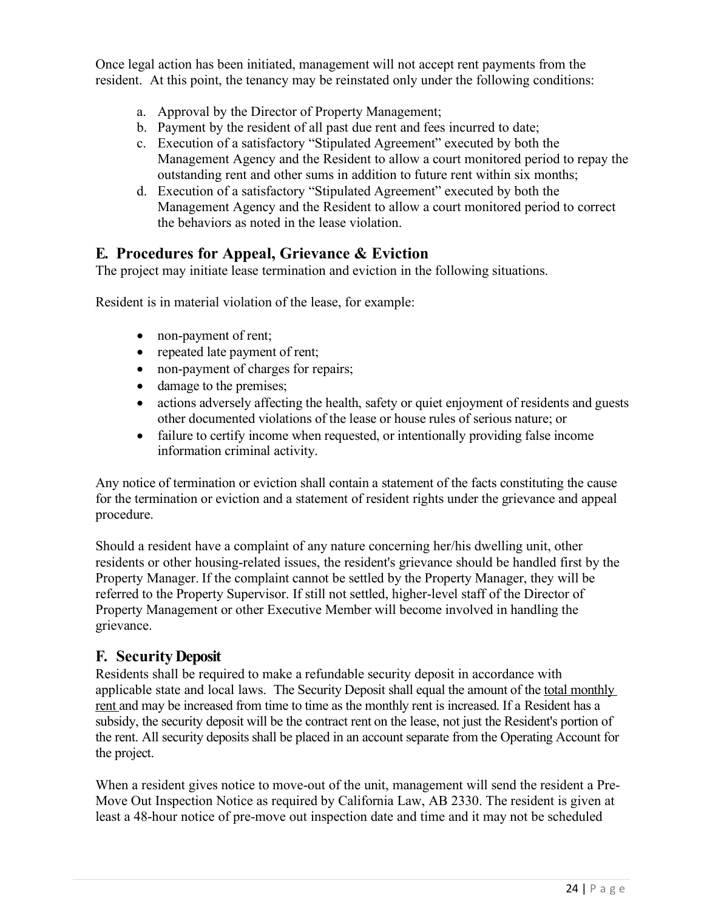Once legal action has been initiated, management will not accept rent payments from the resident. At this point, the tenancy may be reinstated only under the following conditions:

- a. Approval by the Director of Property Management;
- b. Payment by the resident of all past due rent and fees incurred to date;
- c. Execution of a satisfactory "Stipulated Agreement" executed by both the Management Agency and the Resident to allow a court monitored period to repay the outstanding rent and other sums in addition to future rent within six months;
- d. Execution of a satisfactory "Stipulated Agreement" executed by both the Management Agency and the Resident to allow a court monitored period to correct the behaviors as noted in the lease violation.

### <span id="page-23-0"></span>**E. Procedures for Appeal, Grievance & Eviction**

The project may initiate lease termination and eviction in the following situations.

Resident is in material violation of the lease, for example:

- non-payment of rent;
- repeated late payment of rent;
- non-payment of charges for repairs;
- damage to the premises;
- actions adversely affecting the health, safety or quiet enjoyment of residents and guests other documented violations of the lease or house rules of serious nature; or
- failure to certify income when requested, or intentionally providing false income information criminal activity.

Any notice of termination or eviction shall contain a statement of the facts constituting the cause for the termination or eviction and a statement of resident rights under the grievance and appeal procedure.

Should a resident have a complaint of any nature concerning her/his dwelling unit, other residents or other housing-related issues, the resident's grievance should be handled first by the Property Manager. If the complaint cannot be settled by the Property Manager, they will be referred to the Property Supervisor. If still not settled, higher-level staff of the Director of Property Management or other Executive Member will become involved in handling the grievance.

#### <span id="page-23-1"></span>**F. Security Deposit**

Residents shall be required to make a refundable security deposit in accordance with applicable state and local laws. The Security Deposit shall equal the amount of the total monthly rent and may be increased from time to time as the monthly rent is increased. If a Resident has a subsidy, the security deposit will be the contract rent on the lease, not just the Resident's portion of the rent. All security deposits shall be placed in an account separate from the Operating Account for the project.

When a resident gives notice to move-out of the unit, management will send the resident a Pre-Move Out Inspection Notice as required by California Law, AB 2330. The resident is given at least a 48-hour notice of pre-move out inspection date and time and it may not be scheduled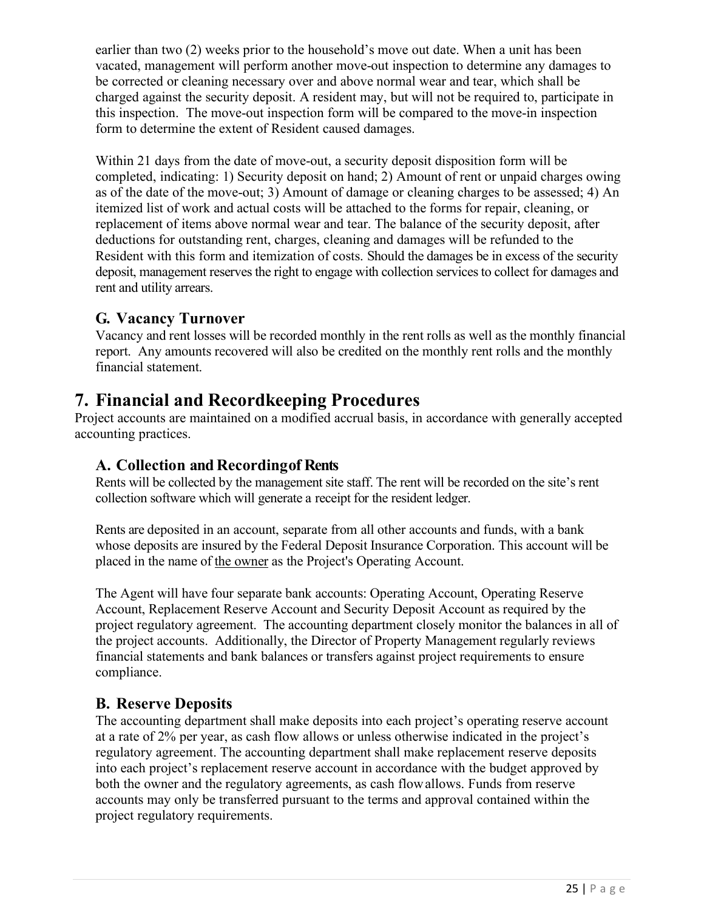earlier than two (2) weeks prior to the household's move out date. When a unit has been vacated, management will perform another move-out inspection to determine any damages to be corrected or cleaning necessary over and above normal wear and tear, which shall be charged against the security deposit. A resident may, but will not be required to, participate in this inspection. The move-out inspection form will be compared to the move-in inspection form to determine the extent of Resident caused damages.

Within 21 days from the date of move-out, a security deposit disposition form will be completed, indicating: 1) Security deposit on hand; 2) Amount of rent or unpaid charges owing as of the date of the move-out; 3) Amount of damage or cleaning charges to be assessed; 4) An itemized list of work and actual costs will be attached to the forms for repair, cleaning, or replacement of items above normal wear and tear. The balance of the security deposit, after deductions for outstanding rent, charges, cleaning and damages will be refunded to the Resident with this form and itemization of costs. Should the damages be in excess of the security deposit, management reserves the right to engage with collection services to collect for damages and rent and utility arrears.

### <span id="page-24-0"></span>**G. Vacancy Turnover**

Vacancy and rent losses will be recorded monthly in the rent rolls as well as the monthly financial report. Any amounts recovered will also be credited on the monthly rent rolls and the monthly financial statement.

# <span id="page-24-1"></span>**7. Financial and Recordkeeping Procedures**

Project accounts are maintained on a modified accrual basis, in accordance with generally accepted accounting practices.

### <span id="page-24-2"></span>**A. Collection and Recordingof Rents**

Rents will be collected by the management site staff. The rent will be recorded on the site's rent collection software which will generate a receipt for the resident ledger.

Rents are deposited in an account, separate from all other accounts and funds, with a bank whose deposits are insured by the Federal Deposit Insurance Corporation. This account will be placed in the name of the owner as the Project's Operating Account.

The Agent will have four separate bank accounts: Operating Account, Operating Reserve Account, Replacement Reserve Account and Security Deposit Account as required by the project regulatory agreement. The accounting department closely monitor the balances in all of the project accounts. Additionally, the Director of Property Management regularly reviews financial statements and bank balances or transfers against project requirements to ensure compliance.

### <span id="page-24-3"></span>**B. Reserve Deposits**

The accounting department shall make deposits into each project's operating reserve account at a rate of 2% per year, as cash flow allows or unless otherwise indicated in the project's regulatory agreement. The accounting department shall make replacement reserve deposits into each project's replacement reserve account in accordance with the budget approved by both the owner and the regulatory agreements, as cash flowallows. Funds from reserve accounts may only be transferred pursuant to the terms and approval contained within the project regulatory requirements.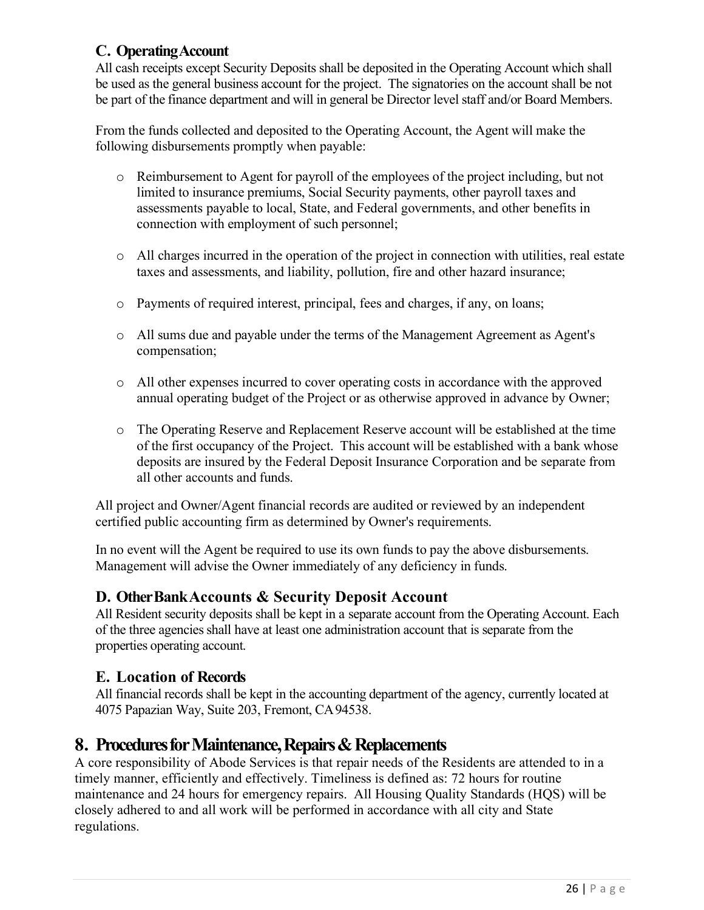### <span id="page-25-0"></span>**C. OperatingAccount**

All cash receipts except Security Deposits shall be deposited in the Operating Account which shall be used as the general business account for the project. The signatories on the account shall be not be part of the finance department and will in general be Director level staff and/or Board Members.

From the funds collected and deposited to the Operating Account, the Agent will make the following disbursements promptly when payable:

- o Reimbursement to Agent for payroll of the employees of the project including, but not limited to insurance premiums, Social Security payments, other payroll taxes and assessments payable to local, State, and Federal governments, and other benefits in connection with employment of such personnel;
- o All charges incurred in the operation of the project in connection with utilities, real estate taxes and assessments, and liability, pollution, fire and other hazard insurance;
- o Payments of required interest, principal, fees and charges, if any, on loans;
- o All sums due and payable under the terms of the Management Agreement as Agent's compensation;
- o All other expenses incurred to cover operating costs in accordance with the approved annual operating budget of the Project or as otherwise approved in advance by Owner;
- o The Operating Reserve and Replacement Reserve account will be established at the time of the first occupancy of the Project. This account will be established with a bank whose deposits are insured by the Federal Deposit Insurance Corporation and be separate from all other accounts and funds.

All project and Owner/Agent financial records are audited or reviewed by an independent certified public accounting firm as determined by Owner's requirements.

In no event will the Agent be required to use its own funds to pay the above disbursements. Management will advise the Owner immediately of any deficiency in funds.

### <span id="page-25-1"></span>**D. OtherBankAccounts & Security Deposit Account**

All Resident security deposits shall be kept in a separate account from the Operating Account. Each of the three agencies shall have at least one administration account that is separate from the properties operating account.

### <span id="page-25-2"></span>**E. Location of Records**

All financial records shall be kept in the accounting department of the agency, currently located at 4075 Papazian Way, Suite 203, Fremont, CA94538.

# <span id="page-25-3"></span>**8. Procedures for Maintenance, Repairs & Replacements**

A core responsibility of Abode Services is that repair needs of the Residents are attended to in a timely manner, efficiently and effectively. Timeliness is defined as: 72 hours for routine maintenance and 24 hours for emergency repairs. All Housing Quality Standards (HQS) will be closely adhered to and all work will be performed in accordance with all city and State regulations.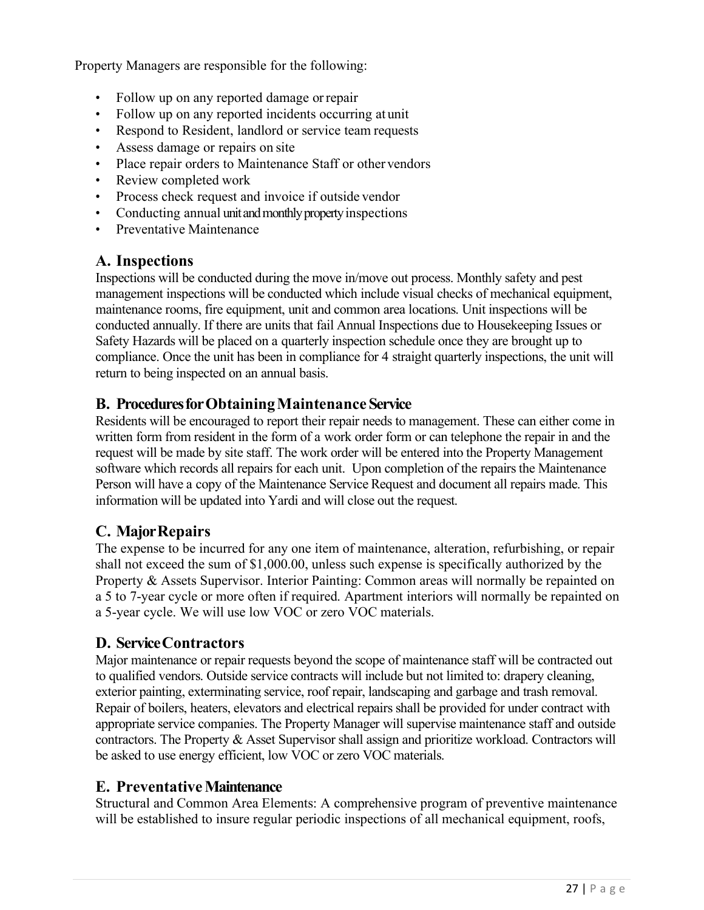Property Managers are responsible for the following:

- Follow up on any reported damage orrepair
- Follow up on any reported incidents occurring at unit
- Respond to Resident, landlord or service team requests
- Assess damage or repairs on site
- Place repair orders to Maintenance Staff or other vendors
- Review completed work
- Process check request and invoice if outside vendor
- Conducting annual unit and monthly property inspections
- Preventative Maintenance

### <span id="page-26-0"></span>**A. Inspections**

Inspections will be conducted during the move in/move out process. Monthly safety and pest management inspections will be conducted which include visual checks of mechanical equipment, maintenance rooms, fire equipment, unit and common area locations. Unit inspections will be conducted annually. If there are units that fail Annual Inspections due to Housekeeping Issues or Safety Hazards will be placed on a quarterly inspection schedule once they are brought up to compliance. Once the unit has been in compliance for 4 straight quarterly inspections, the unit will return to being inspected on an annual basis.

#### <span id="page-26-1"></span>**B. ProceduresforObtainingMaintenance Service**

Residents will be encouraged to report their repair needs to management. These can either come in written form from resident in the form of a work order form or can telephone the repair in and the request will be made by site staff. The work order will be entered into the Property Management software which records all repairs for each unit. Upon completion of the repairs the Maintenance Person will have a copy of the Maintenance Service Request and document all repairs made. This information will be updated into Yardi and will close out the request.

### <span id="page-26-2"></span>**C. MajorRepairs**

The expense to be incurred for any one item of maintenance, alteration, refurbishing, or repair shall not exceed the sum of \$1,000.00, unless such expense is specifically authorized by the Property & Assets Supervisor. Interior Painting: Common areas will normally be repainted on a 5 to 7-year cycle or more often if required. Apartment interiors will normally be repainted on a 5-year cycle. We will use low VOC or zero VOC materials.

#### <span id="page-26-3"></span>**D. ServiceContractors**

Major maintenance or repair requests beyond the scope of maintenance staff will be contracted out to qualified vendors. Outside service contracts will include but not limited to: drapery cleaning, exterior painting, exterminating service, roof repair, landscaping and garbage and trash removal. Repair of boilers, heaters, elevators and electrical repairs shall be provided for under contract with appropriate service companies. The Property Manager will supervise maintenance staff and outside contractors. The Property & Asset Supervisor shall assign and prioritize workload. Contractors will be asked to use energy efficient, low VOC or zero VOC materials.

#### <span id="page-26-4"></span>**E. PreventativeMaintenance**

Structural and Common Area Elements: A comprehensive program of preventive maintenance will be established to insure regular periodic inspections of all mechanical equipment, roofs,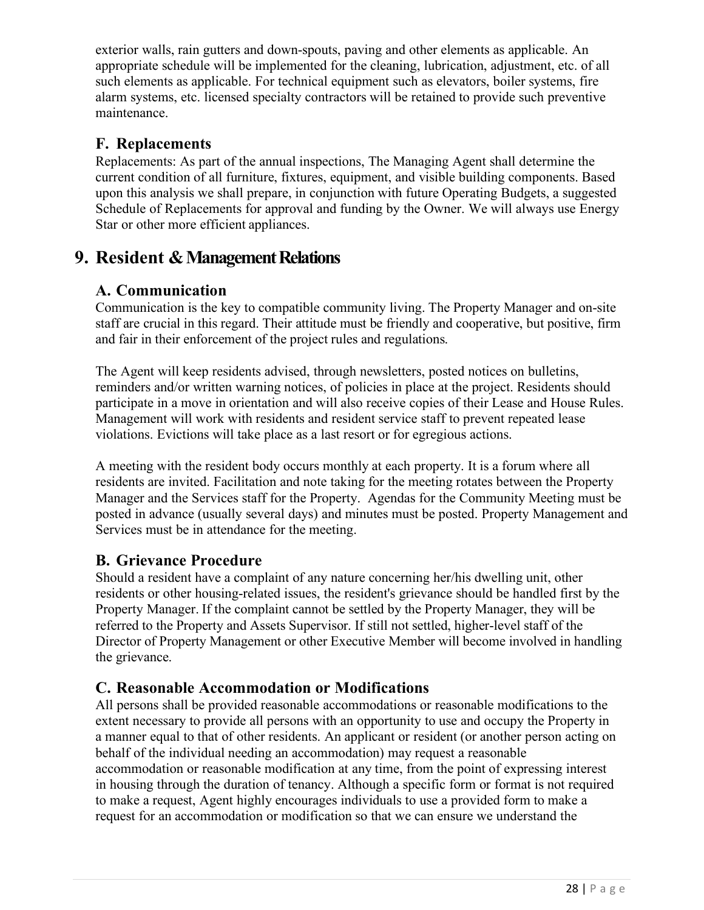exterior walls, rain gutters and down-spouts, paving and other elements as applicable. An appropriate schedule will be implemented for the cleaning, lubrication, adjustment, etc. of all such elements as applicable. For technical equipment such as elevators, boiler systems, fire alarm systems, etc. licensed specialty contractors will be retained to provide such preventive maintenance.

### <span id="page-27-0"></span>**F. Replacements**

Replacements: As part of the annual inspections, The Managing Agent shall determine the current condition of all furniture, fixtures, equipment, and visible building components. Based upon this analysis we shall prepare, in conjunction with future Operating Budgets, a suggested Schedule of Replacements for approval and funding by the Owner. We will always use Energy Star or other more efficient appliances.

# <span id="page-27-2"></span><span id="page-27-1"></span>**9. Resident & Management Relations**

### **A. Communication**

Communication is the key to compatible community living. The Property Manager and on-site staff are crucial in this regard. Their attitude must be friendly and cooperative, but positive, firm and fair in their enforcement of the project rules and regulations.

The Agent will keep residents advised, through newsletters, posted notices on bulletins, reminders and/or written warning notices, of policies in place at the project. Residents should participate in a move in orientation and will also receive copies of their Lease and House Rules. Management will work with residents and resident service staff to prevent repeated lease violations. Evictions will take place as a last resort or for egregious actions.

A meeting with the resident body occurs monthly at each property. It is a forum where all residents are invited. Facilitation and note taking for the meeting rotates between the Property Manager and the Services staff for the Property. Agendas for the Community Meeting must be posted in advance (usually several days) and minutes must be posted. Property Management and Services must be in attendance for the meeting.

# <span id="page-27-3"></span>**B. Grievance Procedure**

Should a resident have a complaint of any nature concerning her/his dwelling unit, other residents or other housing-related issues, the resident's grievance should be handled first by the Property Manager. If the complaint cannot be settled by the Property Manager, they will be referred to the Property and Assets Supervisor. If still not settled, higher-level staff of the Director of Property Management or other Executive Member will become involved in handling the grievance.

# <span id="page-27-4"></span>**C. Reasonable Accommodation or Modifications**

All persons shall be provided reasonable accommodations or reasonable modifications to the extent necessary to provide all persons with an opportunity to use and occupy the Property in a manner equal to that of other residents. An applicant or resident (or another person acting on behalf of the individual needing an accommodation) may request a reasonable accommodation or reasonable modification at any time, from the point of expressing interest in housing through the duration of tenancy. Although a specific form or format is not required to make a request, Agent highly encourages individuals to use a provided form to make a request for an accommodation or modification so that we can ensure we understand the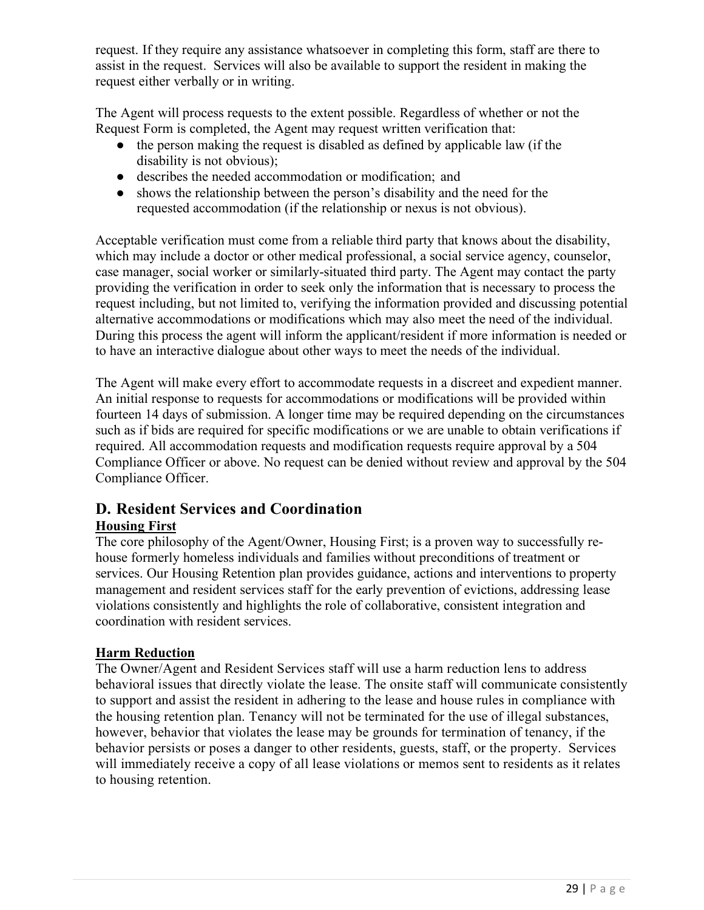request. If they require any assistance whatsoever in completing this form, staff are there to assist in the request. Services will also be available to support the resident in making the request either verbally or in writing.

The Agent will process requests to the extent possible. Regardless of whether or not the Request Form is completed, the Agent may request written verification that:

- the person making the request is disabled as defined by applicable law (if the disability is not obvious);
- describes the needed accommodation or modification; and
- shows the relationship between the person's disability and the need for the requested accommodation (if the relationship or nexus is not obvious).

Acceptable verification must come from a reliable third party that knows about the disability, which may include a doctor or other medical professional, a social service agency, counselor, case manager, social worker or similarly-situated third party. The Agent may contact the party providing the verification in order to seek only the information that is necessary to process the request including, but not limited to, verifying the information provided and discussing potential alternative accommodations or modifications which may also meet the need of the individual. During this process the agent will inform the applicant/resident if more information is needed or to have an interactive dialogue about other ways to meet the needs of the individual.

The Agent will make every effort to accommodate requests in a discreet and expedient manner. An initial response to requests for accommodations or modifications will be provided within fourteen 14 days of submission. A longer time may be required depending on the circumstances such as if bids are required for specific modifications or we are unable to obtain verifications if required. All accommodation requests and modification requests require approval by a 504 Compliance Officer or above. No request can be denied without review and approval by the 504 Compliance Officer.

#### <span id="page-28-0"></span>**D. Resident Services and Coordination Housing First**

The core philosophy of the Agent/Owner, Housing First; is a proven way to successfully rehouse formerly homeless individuals and families without preconditions of treatment or services. Our Housing Retention plan provides guidance, actions and interventions to property management and resident services staff for the early prevention of evictions, addressing lease violations consistently and highlights the role of collaborative, consistent integration and coordination with resident services.

#### **Harm Reduction**

The Owner/Agent and Resident Services staff will use a harm reduction lens to address behavioral issues that directly violate the lease. The onsite staff will communicate consistently to support and assist the resident in adhering to the lease and house rules in compliance with the housing retention plan. Tenancy will not be terminated for the use of illegal substances, however, behavior that violates the lease may be grounds for termination of tenancy, if the behavior persists or poses a danger to other residents, guests, staff, or the property. Services will immediately receive a copy of all lease violations or memos sent to residents as it relates to housing retention.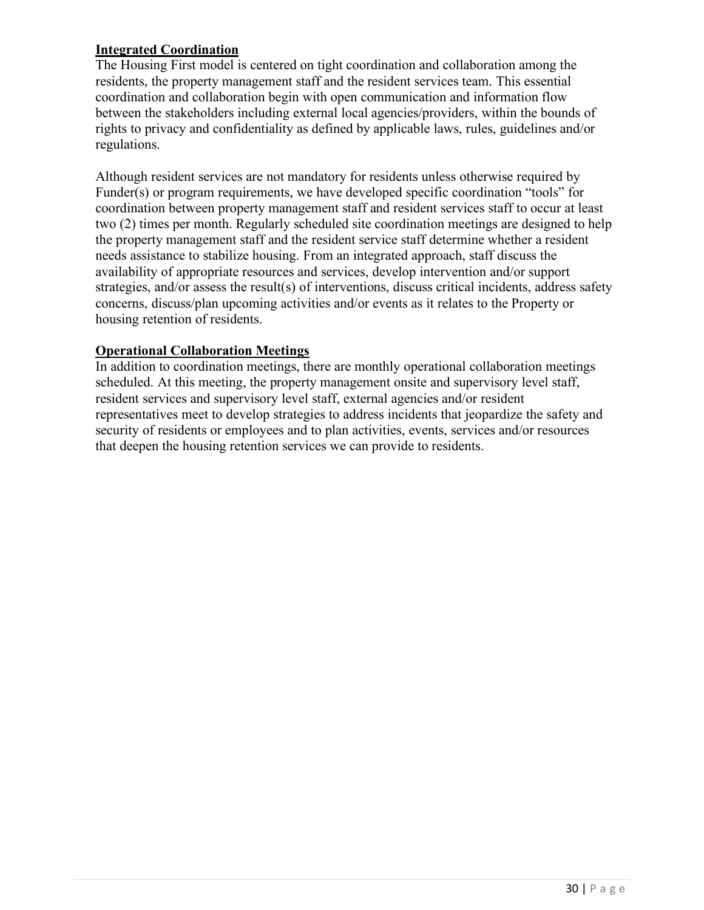#### **Integrated Coordination**

The Housing First model is centered on tight coordination and collaboration among the residents, the property management staff and the resident services team. This essential coordination and collaboration begin with open communication and information flow between the stakeholders including external local agencies/providers, within the bounds of rights to privacy and confidentiality as defined by applicable laws, rules, guidelines and/or regulations.

Although resident services are not mandatory for residents unless otherwise required by Funder(s) or program requirements, we have developed specific coordination "tools" for coordination between property management staff and resident services staff to occur at least two (2) times per month. Regularly scheduled site coordination meetings are designed to help the property management staff and the resident service staff determine whether a resident needs assistance to stabilize housing. From an integrated approach, staff discuss the availability of appropriate resources and services, develop intervention and/or support strategies, and/or assess the result(s) of interventions, discuss critical incidents, address safety concerns, discuss/plan upcoming activities and/or events as it relates to the Property or housing retention of residents.

#### **Operational Collaboration Meetings**

In addition to coordination meetings, there are monthly operational collaboration meetings scheduled. At this meeting, the property management onsite and supervisory level staff, resident services and supervisory level staff, external agencies and/or resident representatives meet to develop strategies to address incidents that jeopardize the safety and security of residents or employees and to plan activities, events, services and/or resources that deepen the housing retention services we can provide to residents.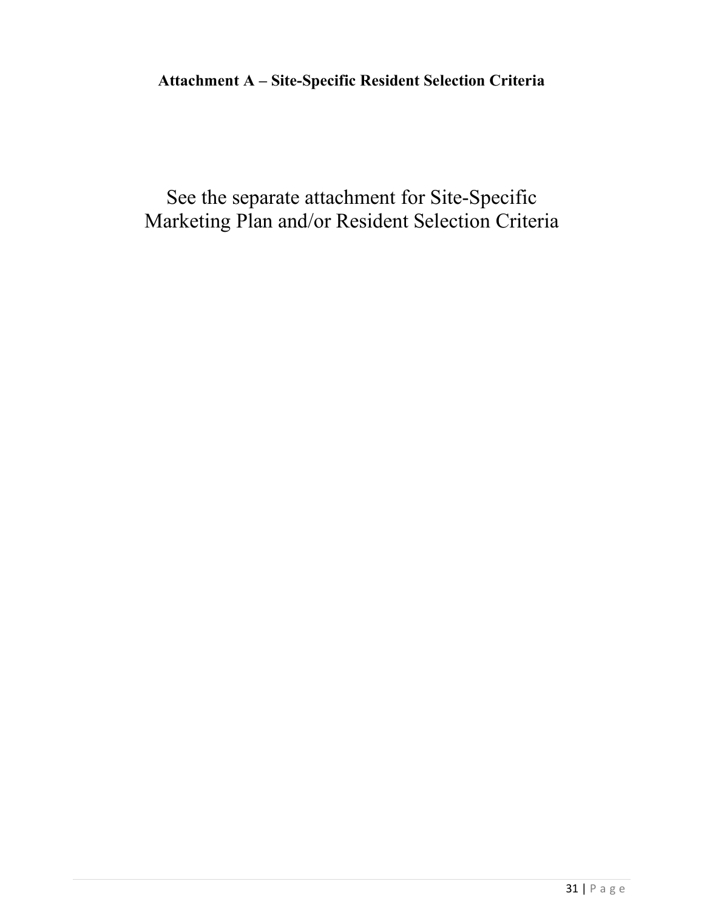# <span id="page-30-0"></span>**Attachment A – Site-Specific Resident Selection Criteria**

See the separate attachment for Site-Specific Marketing Plan and/or Resident Selection Criteria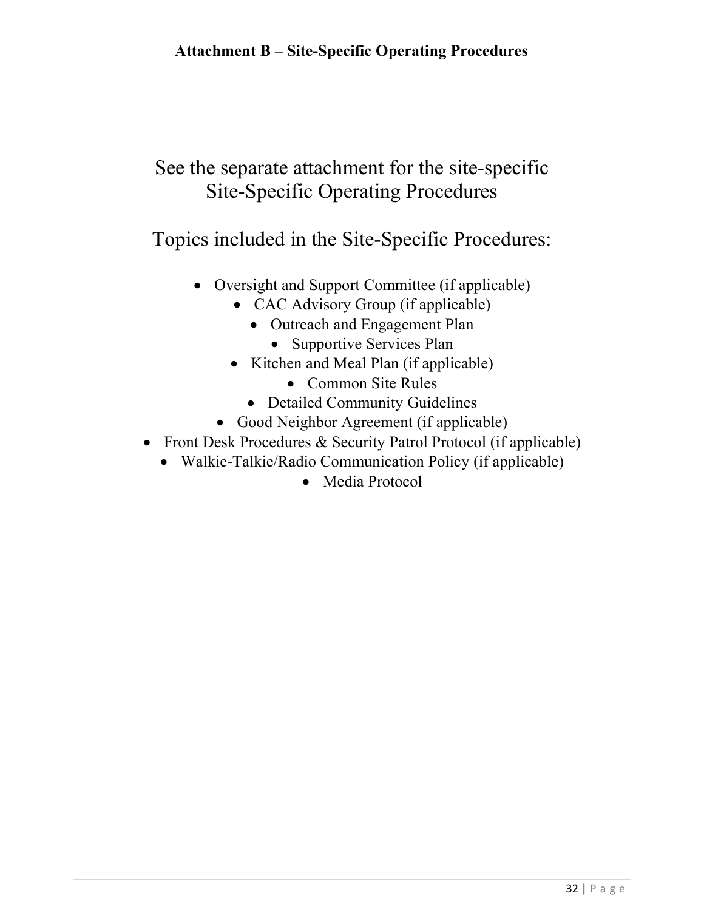# <span id="page-31-0"></span>See the separate attachment for the site-specific Site-Specific Operating Procedures

Topics included in the Site-Specific Procedures:

- Oversight and Support Committee (if applicable)
	- CAC Advisory Group (if applicable)
		- Outreach and Engagement Plan
			- Supportive Services Plan
	- Kitchen and Meal Plan (if applicable)
		- Common Site Rules
		- Detailed Community Guidelines
	- Good Neighbor Agreement (if applicable)
- Front Desk Procedures & Security Patrol Protocol (if applicable)
	- Walkie-Talkie/Radio Communication Policy (if applicable)
		- Media Protocol